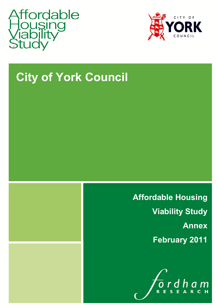



# **City of York Council**

**Affordable Housing Viability Study Annex February 2011**

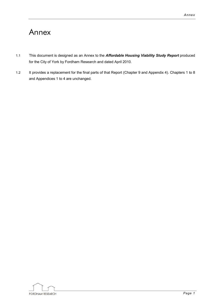### Annex

- 1.1 This document is designed as an Annex to the *Affordable Housing Viability Study Report* produced for the City of York by Fordham Research and dated April 2010.
- 1.2 It provides a replacement for the final parts of that Report (Chapter 9 and Appendix 4). Chapters 1 to 8 and Appendices 1 to 4 are unchanged.

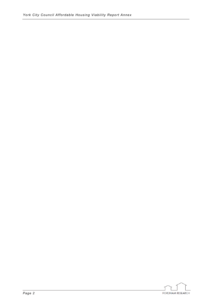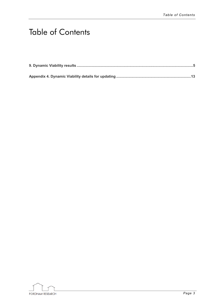### Table of Contents

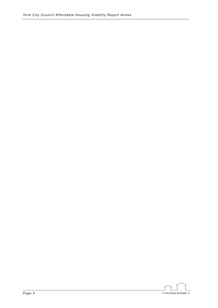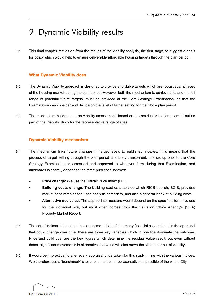### 9. Dynamic Viability results

9.1 This final chapter moves on from the results of the viability analysis, the first stage, to suggest a basis for policy which would help to ensure deliverable affordable housing targets through the plan period.

#### **What Dynamic Viability does**

- 9.2 The Dynamic Viability approach is designed to provide affordable targets which are robust at all phases of the housing market during the plan period. However both the mechanism to achieve this, and the full range of potential future targets, must be provided at the Core Strategy Examination, so that the Examination can consider and decide on the level of target setting for the whole plan period.
- 9.3 The mechanism builds upon the viability assessment, based on the residual valuations carried out as part of the Viability Study for the representative range of sites.

#### **Dynamic Viability mechanism**

- 9.4 The mechanism links future changes in target levels to published indexes. This means that the process of target setting through the plan period is entirely transparent. It is set up prior to the Core Strategy Examination, is assessed and approved in whatever form during that Examination, and afterwards is entirely dependent on three published indexes:
	- **Price change**: We use the Halifax Price Index (HPI)
	- **Building costs change**: The building cost data service which RICS publish, BCIS, provides market price rates based upon analysis of tenders, and also a general index of building costs
	- **Alternative use value**: The appropriate measure would depend on the specific alternative use for the individual site, but most often comes from the Valuation Office Agency's (VOA) Property Market Report.
- 9.5 The set of indices is based on the assessment that, of the many financial assumptions in the appraisal that could change over time, there are three key variables which in practice dominate the outcome. Price and build cost are the key figures which determine the residual value result, but even without these, significant movements in alternative use value will also move the site into or out of viability.
- 9.6 It would be impractical to alter every appraisal undertaken for this study in line with the various indices. We therefore use a 'benchmark' site, chosen to be as representative as possible of the whole City.

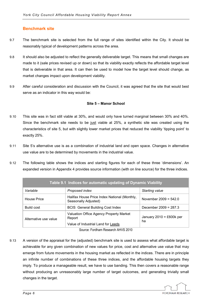#### **Benchmark site**

- 9.7 The benchmark site is selected from the full range of sites identified within the City. It should be reasonably typical of development patterns across the area.
- 9.8 It should also be adjusted to reflect the generally deliverable target. This means that small changes are made to it (sale prices revised up or down) so that its viability exactly reflects the affordable target level that is deliverable in that area. It can then be used to model how the target level should change, as market changes impact upon development viability.
- 9.9 After careful consideration and discussion with the Council, it was agreed that the site that would best serve as an indicator in this way would be:

#### **Site 5 – Manor School**

- 9.10 This site was in fact still viable at 30%, and would only have turned marginal between 30% and 40%. Since the benchmark site needs to be just viable at 25%, a synthetic site was created using the characteristics of site 5, but with slightly lower market prices that reduced the viability 'tipping point' to exactly 25%.
- 9.11 Site 5's alternative use is as a combination of industrial land and open space. Changes in alternative use value are to be determined by movements in the industrial value.
- 9.12 The following table shows the indices and starting figures for each of these three 'dimensions'. An expanded version in Appendix 4 provides source information (with on line source) for the three indices.

|                       | Table 9.1 Indices for automatic updating of Dynamic Viability                           |                                   |
|-----------------------|-----------------------------------------------------------------------------------------|-----------------------------------|
| Variable              | Proposed index                                                                          | Starting value                    |
| House Price           | Halifax House Price Index National (Monthly,<br>Seasonally Adjusted)                    | November $2009 = 542.0$           |
| Build cost            | <b>BCIS</b> General Building Cost Index                                                 | December $2009 = 287.3$           |
| Alternative use value | Valuation Office Agency Property Market<br>Report<br>Value of Industrial Land for Leeds | January 2010 = £600 $k$ per<br>ha |

Source: Fordham Research AHVS 2010

9.13 A version of the appraisal for the (adjusted) benchmark site is used to assess what affordable target is achievable for any given combination of new values for price, cost and alternative use value that may emerge from future movements in the housing market as reflected in the indices. There are in principle an infinite number of combinations of these three indices, and the affordable housing targets they imply. To produce a manageable result, we have to use banding. This then covers a reasonable range without producing an unreasonably large number of target outcomes, and generating trivially small changes in the target.

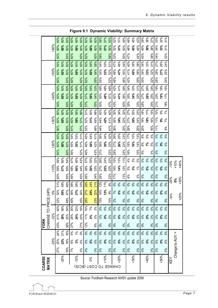| COARSE<br><b>MATRIX</b> |              |                  |               | <b>YORK</b>    | CHANGE TO PRICE           |                  |          | (HF)             |                  |          |                  |                      |     |                            |            |        |     |     |      |     |     |      |     |     |            |
|-------------------------|--------------|------------------|---------------|----------------|---------------------------|------------------|----------|------------------|------------------|----------|------------------|----------------------|-----|----------------------------|------------|--------|-----|-----|------|-----|-----|------|-----|-----|------------|
|                         |              | -20%             |               |                | $-10%$                    |                  |          | $\delta$         |                  |          | $+10%$           |                      |     | $+20%$                     |            | $+30%$ |     |     | +40% |     |     | +50% |     |     | +60%       |
|                         | 27%          | 25%              | 24%           | 43%            | 41%                       | 40%              | 52%      | 52%              | 51%              | 60%      | 59%              | 60%<br>58%           | 60% | 60%                        | 60%        | 60%    | 60% | 60% | 60%  | 60% | 60% | 60%  | 60% | 60% | 60%<br>60% |
| $-20%$                  |              | 22%              | 21%           |                | 39%                       | 38%              |          | 50%              | 49%              |          | 57%              | 56%                  |     | 60%<br>60%                 |            | 60%    | 60% |     | 50%  | 60% |     | 60%  | 60% |     | 60%<br>60% |
|                         | 19%          | 18%              | 16%           | 36%            | 35%                       | 34%              | 48%      | 47%              | 46%              | 55%      | 55%              | 60%<br>54%           | 60% |                            | 60%<br>60% | 60%    | 60% | 60% | 60%  | 60% | 60% | 60%  | 60% | 60% | 60%<br>60% |
|                         | 7%           | 6%               | $4%$<br>1%    | 27%            | 26%                       | 25%              | 40%      | 39%              | 38%              | 49%      | 48%              | 56%<br>47%           |     | 54%<br>55%                 | 61%        | 60%    | 59% | 60% | 60%  | 60% | 60% | 60%  | 60% | 60% | 60%<br>60% |
| $-10%$                  |              | 3%               |               |                | 24%                       | 23%              |          | 37%              | 36%              |          | 46%              | 46%                  |     | 53%<br>53%                 |            | 59%    | 58% |     | 60%  | 60% |     | 60%  | 60% |     | 60%<br>60% |
| CHANGE TO COST (BCIS)   | 0%           | 0%               | 0%            | 21%            | 20%                       | 19%              | 35%      | 34%              | 33%              | 45%      | 44%              | 52%<br>43%           |     | 51%                        | 57%<br>51% | 57%    | 56% | 60% | 60%  | 60% | 60% | 60%  | 60% | 60% | 60%<br>60% |
|                         | 0%           |                  |               | 12%            | 11%                       |                  | 28%      | 27%              | 26%              | 38%      | 38%              | 46%<br>37%           | 46% | 45%                        | 53%        | 52%    | 51% | 57% | 57%  | 56% | 60% | 60%  | 60% | 60% | 60%<br>60% |
| 0%                      |              | ರಿ%<br>0%        | 8%<br>0%      |                | ೪%                        | 10%<br>7%        |          | 25%              | 24%              |          | 36%              | 35%                  |     | 44%<br>44%                 |            | 51%    | 50% |     | 56%  | 55% |     | 60%  | 59% |     | 60%<br>60% |
|                         | $\delta$     | $\delta$         | $0\%$         | 6%             | 5%                        | 3%               | 23%      | 22%              | 21%              | 34%      | 33%              | 43%<br>32%           |     | 42%                        | 49%<br>41% | 49%    | 48% | 55% | 54%  | 53% | 59% | 58%  | 58% | 60% | 60%<br>60% |
|                         | $0\%$        |                  |               | 0%             | 0%                        |                  | 15%      | 14%              | 13%              | 28%      | 27%              | 37%<br>26%           |     | 36%                        | 44%<br>36% | 44%    | 43% | 50% | 50%  | 49% | 55% | 54%  | 54% | 59% | 58%<br>58% |
| $+10%$                  |              | ్లో<br><b>0%</b> | 0%<br>0%      |                | $\mathbf{0}^{\circ\circ}$ | 0%<br>0%         |          | 12%              | 11%              |          | 25%              | 24%                  |     | 34%<br>35%                 |            | 42%    | 42% |     | 48%  | 48% |     | 53%  | 53% |     | 57%<br>57% |
|                         | $0\%$        | O%               | $0\%$         | $\delta$       | 0%                        | $\delta^{\circ}$ | 10%      | $9\%$            | 8%               | 23%      | 23%              | 33%<br>22%           |     | 33%                        | 41%<br>32% | 41%    | 40% | 47% | 47%  | 46% | 52% | 52%  | 51% | 56% | 55%<br>56% |
|                         | $0\%$        |                  |               | $0\%$          |                           |                  | 2%       | $\frac{5}{6}$    | $\delta$ 0       | 17%      | 16%              | 28%<br>15%           |     | 26%<br>27%                 | 36%        | 36%    | 35% | 43% | 42%  | 42% | 48% | 48%  | 47% | 53% | 52%<br>52% |
| $+20%$                  |              | ೦%<br><b>೦</b> % | ಕಿ ಕೆ         |                | ರಿ%<br><b>೦</b> %         | 8%<br>0%         |          | $\delta^{\circ}$ | 0%               |          | 14%              | 13%                  |     | 25%<br>26%                 |            | 34%    | 34% |     | 41%  | 41% |     | 47%  | 46% |     | 51%<br>51% |
|                         | $\delta$     | $0\%$            | $0\%$         | 0%             | $0\%$                     | $0\%$            | $0\%$    | $0\%$            | $\delta^{\circ}$ | 13%      | 12%              | 24%<br>11%           |     | 23%                        | 33%<br>23% | 32%    | 32% | 40% | 39%  | 39% | 46% | 45%  | 44% | 50% | 49%<br>50% |
|                         | 0%           |                  |               | $0\%$          | $\sqrt{6}$                |                  | $0\%$    | $\delta_{0}$     | $\delta$ 0       | 6%       | 5%               | 18%<br>4%            |     | 18%                        | 28%<br>17% | 27%    | 27% | 35% | 35%  | 34% | 42% | 41%  | 40% | 47% | 46%<br>46% |
| $+30%$                  |              | 0%<br>0%         | $\frac{8}{3}$ |                | $\mathbf{0}^{\circ\circ}$ | ఠో శ             |          | $\delta^{\rm o}$ | 0%               |          | 3%               | 3%                   |     | 16%                        | 15%        | 26%    | 25% |     | 34%  | 33% |     | 40%  | 39% |     | 45%<br>45% |
|                         | $\delta$     | 0%               | 0%            | $\delta$       | $0\%$                     | 0%               | $0\%$    | $0\%$            | $\delta$ 0       | 2%       | 1%               | $\delta$             | 15% | 14%                        | 25%<br>13% | 24%    | 23% | 33% | 32%  | 31% | 39% | 38%  | 38% | 44% | 43%<br>44% |
|                         | $\delta_{0}$ | $\delta_{0}$     |               | 6 <sup>6</sup> | $0\%$                     |                  | $\delta$ | 0%               | $\delta$ 0       | $\delta$ | $\delta_{0}$     | 9%<br>$6\%$          |     | 8%<br>8%                   | 20%        | 19%    | 18% | 28% | 27%  | 27% | 35% | 34%  | 34% | 40% | 39%<br>40% |
| +40%                    |              | ్డి              | ఠో న          |                | $\delta^{\rm s}$          | కో క             |          | $\delta^{\circ}$ | $\delta$         |          | $\delta^{\circ}$ | $\delta$             |     | 6%<br>7%                   |            | 18%    | 17% |     | 26%  | 26% |     | 33%  | 33% |     | 38%<br>39% |
|                         | $0\%$        | 0%               | $\delta$      | 0%             | 0%                        | 0%               | $0\%$    | 0%               | $\delta$         | $\delta$ | 0%               | 5%<br>$0\%$          |     | 4%<br>5%                   | 16%        | 16%    | 15% | 25% | 25%  | 24% | 32% | 32%  | 31% | 38% | 37%<br>38% |
|                         | $\delta_{0}$ | $\delta^{\circ}$ | $0\%$         | 0%             | $\delta$ 0                | 0%               | $\delta$ | $\delta$         | $\delta$         | ಕೆ       | $\delta$ 0       | $\delta$<br>$\delta$ |     | $\delta$<br>6 <sup>8</sup> | 11%        | 11%    | 10% | 21% | 20%  | 19% | 28% | 28%  | 27% | 34% | 33%<br>34% |
| $+50%$                  |              | $\delta^{\circ}$ | $0\%$         |                | $\delta^{\circ}$          | $\delta$         |          | ბ%               | $0\%$            |          | ბ%               | $\delta$             |     | $\delta$<br>δ°ς            |            | 9%     | 9%  |     | 19%  | 18% |     | 27%  | 26% |     | 32%<br>33% |
|                         | $0\%$        | $\delta$         | 0%            | $0\%$          | $\delta$                  | 0%               | $\delta$ | O%               | 0%               | 0%       | $0\%$            | 0%<br>$\delta$       |     | $\delta$<br>$\delta$       | 8%         | 7%     | 7%  | 18% | 17%  | 16% | 25% | 25%  | 24% | 32% | 31%<br>31% |
| ΚĒΥ                     |              |                  |               |                |                           |                  | ዋ        | $\delta$         | $-20%$           |          | $-10%$           |                      |     |                            |            |        |     |     |      |     |     |      |     |     |            |
|                         |              | Change to AUV =  |               |                |                           |                  |          |                  | ల్లో             |          | $+10%$           |                      |     |                            |            |        |     |     |      |     |     |      |     |     |            |
|                         |              |                  |               |                |                           |                  | $+20%$   |                  | $+30%$           |          | +40%             |                      |     |                            |            |        |     |     |      |     |     |      |     |     |            |

**Figure 9.1 Dynamic Viability: Summary Matrix** 

Source: Fordham Research AHSV update 2009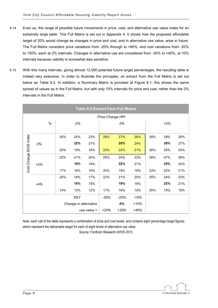- 9.14 Even so, the range of possible future movements in price, cost, and alternative use value make for an extremely large table. This Full Matrix is set out in Appendix 4. It shows how the proposed affordable target of 20% would change as changes in price and cost, and in alternative use value, arise in future. The Full Matrix considers price variations from -20% through to +60%, and cost variations from -20% to +50%, each at 2% intervals. Changes in alternative use are considered from -30% to +40%, at 10% intervals because viability is somewhat less sensitive.
- 9.15 With this many intervals, giving almost 12,000 potential future target percentages, the resulting table is indeed very extensive. In order to illustrate the principles, an extract from the Full Matrix is set out below as Table 9.2. In addition, a Summary Matrix is provided at Figure 9.1; this shows the same spread of values as in the Full Matrix, but with only 10% intervals for price and cost, rather than the 2% intervals in the Full Matrix.

|                        |       |      |     |                       |               |                  | <b>Table 9.2 Extract from Full Matrix</b> |        |     |       |     |
|------------------------|-------|------|-----|-----------------------|---------------|------------------|-------------------------------------------|--------|-----|-------|-----|
|                        |       |      |     |                       |               | Price Change HPI |                                           |        |     |       |     |
|                        |       | $\%$ |     | $-2%$                 |               |                  | 0%                                        |        |     | $+2%$ |     |
|                        |       |      | 25% | 24%                   | 23%           | 28%              | 27%                                       | 26%    | 30% | 29%   | 28% |
|                        | 0%    |      |     | 22%                   | 21%           |                  | 25%                                       | 24%    |     | 28%   | 27% |
| Cost Change BCIS Index |       |      | 20% | 19%                   | 18%           | 23%              | 22%                                       | 21%    | 26% | 25%   | 24% |
|                        |       |      | 22% | 21%                   | 20%           | 25%              | 24%                                       | 23%    | 28% | 27%   | 26% |
|                        | $+2%$ |      |     | 19%                   | 18%           |                  | 22%                                       | 21%    |     | 25%   | 24% |
|                        |       |      | 17% | 16%                   | 15%           | 20%              | 19%                                       | 18%    | 23% | 22%   | 21% |
|                        |       |      | 20% | 18%                   | 17%           | 22%              | 21%                                       | 20%    | 25% | 24%   | 23% |
|                        | $+4%$ |      |     | 16%                   | 15%           |                  | 19%                                       | 18%    |     | 22%   | 21% |
|                        |       |      | 14% | 13%                   | 12%           | 17%              | 16%                                       | 15%    | 20% | 19%   | 18% |
|                        |       |      |     | <b>KEY</b>            |               | $-30%$           | $-20%$                                    | $-10%$ |     |       |     |
|                        |       |      |     | Change in alternative |               |                  | 0%                                        | $+10%$ |     |       |     |
|                        |       |      |     |                       | $use value =$ | $+20%$           | $+30%$                                    | +40%   |     |       |     |

Note: each cell of the table represents a combination of price and cost levels, and contains eight percentage target figures which represent the deliverable target for each of eight levels of alternative use value.

Source: Fordham Research AHVS 2010

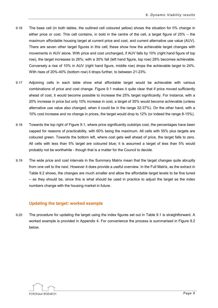- 9.16 The base cell (in both tables, the outlined cell coloured yellow) shows the situation for 0% change in either price or cost. This cell contains, in bold in the centre of the cell, a target figure of 25% – the maximum affordable housing target at current price and cost, and current alternative use value (AUV). There are seven other target figures in this cell; these show how the achievable target changes with movements in AUV alone. With price and cost unchanged, if AUV falls by 10% (right hand figure of top row), the target increases to 26%; with a 30% fall (left hand figure, top row) 28% becomes achievable. Conversely a rise of 10% in AUV (right hand figure, middle row) drops the achievable target to 24%. With rises of 20%-40% (bottom row) it drops further, to between 21-23%.
- 9.17 Adjoining cells in each table show what affordable target would be achievable with various combinations of price and cost change. Figure 9.1 makes it quite clear that if price moved sufficiently ahead of cost, it would become possible to increase the 25% target significantly. For instance, with a 20% increase in price but only 10% increase in cost, a target of 35% would become achievable (unless alternative use value also changed, when it could be in the range 32-37%). On the other hand, with a 10% cost increase and no change in prices, the target would drop to 12% (or indeed the range 8-15%).
- 9.18 Towards the top right of Figure 9.1, where price significantly outstrips cost, the percentages have been capped for reasons of practicability, with 60% being the maximum. All cells with 55% plus targets are coloured green. Towards the bottom left, where cost gets well ahead of price, the target falls to zero. All cells with less than 5% target are coloured blue; it is assumed a target of less than 5% would probably not be worthwhile - though that is a matter for the Council to decide.
- 9.19 The wide price and cost intervals in the Summary Matrix mean that the target changes quite abruptly from one cell to the next. However it does provide a useful overview. In the Full Matrix, as the extract in Table 9.2 shows, the changes are much smaller and allow the affordable target levels to be fine tuned – as they should be, since this is what should be used in practice to adjust the target as the index numbers change with the housing market in future.

#### **Updating the target: worked example**

9.20 The procedure for updating the target using the index figures set out in Table 9.1 is straightforward. A worked example is provided in Appendix 4. For convenience the process is summarised in Figure 9.2 below.

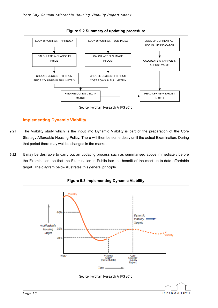

**Figure 9.2 Summary of updating procedure** 

Source: Fordham Research AHVS 2010

#### **Implementing Dynamic Viability**

- 9.21 The Viability study which is the input into Dynamic Viability is part of the preparation of the Core Strategy Affordable Housing Policy. There will then be some delay until the actual Examination. During that period there may well be changes in the market.
- 9.22 It may be desirable to carry out an updating process such as summarised above immediately before the Examination, so that the Examination in Public has the benefit of the most up-to-date affordable target. The diagram below illustrates this general principle.



Source: Fordham Research AHVS 2010

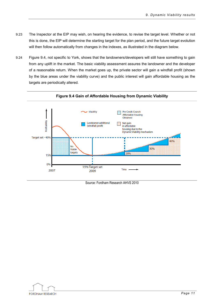- 9.23 The Inspector at the EIP may wish, on hearing the evidence, to revise the target level. Whether or not this is done, the EIP will determine the starting target for the plan period, and the future target evolution will then follow automatically from changes in the indexes, as illustrated in the diagram below.
- 9.24 Figure 9.4, not specific to York, shows that the landowners/developers will still have something to gain from any uplift in the market. The basic viability assessment assures the landowner and the developer of a reasonable return. When the market goes up, the private sector will gain a windfall profit (shown by the blue areas under the viability curve) and the public interest will gain affordable housing as the targets are periodically altered.



#### **Figure 9.4 Gain of Affordable Housing from Dynamic Viability**

Source: Fordham Research AHVS 2010

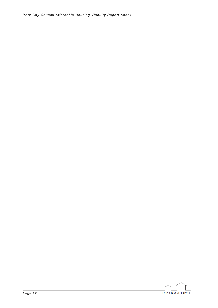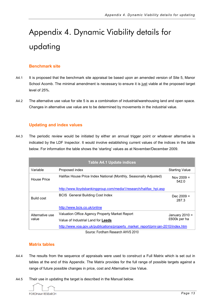## Appendix 4. Dynamic Viability details for updating

#### **Benchmark site**

- A4.1 It is proposed that the benchmark site appraisal be based upon an amended version of Site 5, Manor School Acomb. The minimal amendment is necessary to ensure it is just viable at the proposed target level of 25%.
- A4.2 The alternative use value for site 5 is as a combination of industrial/warehousing land and open space. Changes in alternative use value are to be determined by movements in the industrial value.

#### **Updating and index values**

A4.3 The periodic review would be initiated by either an annual trigger point or whatever alternative is indicated by the LDF Inspector. It would involve establishing current values of the indices in the table below. For information the table shows the 'starting' values as at November/December 2009.

|                 | <b>Table A4.1 Update indices</b>                                                 |                       |
|-----------------|----------------------------------------------------------------------------------|-----------------------|
| Variable        | Proposed index                                                                   | <b>Starting Value</b> |
| House Price     | Halifax House Price Index National (Monthly, Seasonally Adjusted)                | Nov $2009 =$<br>542.0 |
|                 | http://www.lloydsbankinggroup.com/media1/research/halifax hpi.asp                |                       |
| Build cost      | <b>BCIS</b> General Building Cost Index                                          | $Dec 2009 =$<br>287.3 |
|                 | http://www.bcis.co.uk/online                                                     |                       |
| Alternative use | Valuation Office Agency Property Market Report                                   | January $2010 =$      |
| value           | Value of Industrial Land for Leeds                                               | £600k per ha          |
|                 | http://www.voa.gov.uk/publications/property market report/pmr-jan-2010/index.htm |                       |
|                 | Source: Fordham Research AHVS 2010                                               |                       |

#### **Matrix tables**

- A4.4 The results from the sequence of appraisals were used to construct a Full Matrix which is set out in tables at the end of this Appendix. The Matrix provides for the full range of possible targets against a range of future possible changes in price, cost and Alternative Use Value.
- A4.5 Their use in updating the target is described in the Manual below.

**FORDHAM RESEARCH**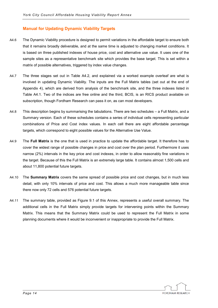#### **Manual for Updating Dynamic Viability Targets**

- A4.6 The Dynamic Viability procedure is designed to permit variations in the affordable target to ensure both that it remains broadly deliverable, and at the same time is adjusted to changing market conditions. It is based on three published indexes of house price, cost and alternative use value. It uses one of the sample sites as a representative benchmark site which provides the base target. This is set within a matrix of possible alternatives, triggered by index value changes.
- A4.7 The three stages set out in Table A4.2, and explained via a worked example overleaf are what is involved in updating Dynamic Viability. The inputs are the Full Matrix tables (set out at the end of Appendix 4), which are derived from analysis of the benchmark site, and the three indexes listed in Table A4.1. Two of the indices are free online and the third, BCIS, is an RICS product available on subscription, though Fordham Research can pass it on, as can most developers.
- A4.8 This description begins by summarising the tabulations. There are two schedules a Full Matrix, and a Summary version. Each of these schedules contains a series of individual cells representing particular combinations of Price and Cost index values. In each cell there are eight affordable percentage targets, which correspond to eight possible values for the Alternative Use Value.
- A4.9 The **Full Matrix** is the one that is used in practice to update the affordable target. It therefore has to cover the widest range of possible changes in price and cost over the plan period. Furthermore it uses narrow (2%) intervals in the key price and cost indexes, in order to allow reasonably fine variations in the target. Because of this the Full Matrix is an extremely large table. It contains almost 1,500 cells and about 11,800 potential future targets.
- A4.10 The **Summary Matrix** covers the same spread of possible price and cost changes, but in much less detail, with only 10% intervals of price and cost. This allows a much more manageable table since there now only 72 cells and 576 potential future targets.
- A4.11 The summary table, provided as Figure 9.1 of this Annex, represents a useful overall summary. The additional cells in the Full Matrix simply provide targets for intervening points within the Summary Matrix. This means that the Summary Matrix could be used to represent the Full Matrix in some planning documents where it would be inconvenient or inappropriate to provide the Full Matrix.

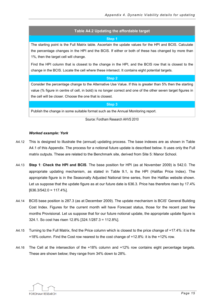#### **Table A4.2 Updating the affordable target**

#### **Step 1**

The starting point is the Full Matrix table. Ascertain the update values for the HPI and BCIS. Calculate the percentage changes in the HPI and the BCIS. If either or both of these has changed by more than 1%, then the target cell will change.

Find the HPI column that is closest to the change in the HPI, and the BCIS row that is closest to the change in the BCIS. Locate the cell where these intersect. It contains eight potential targets.

#### **Step 2**

Consider the percentage change to the Alternative Use Value. If this is greater than 5% then the starting value (% figure in centre of cell, in bold) is no longer correct and one of the other seven target figures in the cell will be closer. Choose the one that is closest.

#### **Step 3**

Publish the change in some suitable format such as the Annual Monitoring report.

Source: Fordham Research AHVS 2010

#### *Worked example: York*

- A4.12 This is designed to illustrate the (annual) updating process. The base indexes are as shown in Table A4.1 of this Appendix. The process for a notional future update is described below. It uses only the Full matrix outputs. These are related to the Benchmark site, derived from Site 5: Manor School.
- A4.13 **Step 1**: **Check the HPI and BCIS**. The base position for HPI (as at November 2009) is 542.0. The appropriate updating mechanism, as stated in Table 9.1, is the HPI (Halifax Price Index). The appropriate figure is in the Seasonally Adjusted National time series, from the Halifax website shown. Let us suppose that the update figure as at our future date is 636.3. Price has therefore risen by 17.4%  $[636.3/542.0 = 117.4\%]$ .
- A4.14 BCIS base position is 287.3 (as at December 2009). The update mechanism is BCIS' General Building Cost Index. Figures for the current month will have Forecast status, those for the recent past few months Provisional. Let us suppose that for our future notional update, the appropriate update figure is 324.1. So cost has risen 12.8% [324.1/287.3 = 112.8%].
- A4.15 Turning to the Full Matrix, find the Price column which is closest to the price change of +17.4%: it is the +18% column. Find the Cost row nearest to the cost change of +12.8%: it is the +12% row.
- A4.16 The Cell at the intersection of the +18% column and +12% row contains eight percentage targets. These are shown below; they range from 34% down to 28%.

**FORDHAM RESEARCH**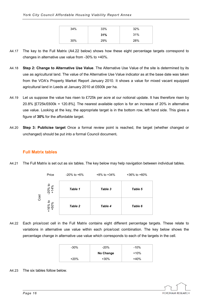| 34% | 33% | 32% |
|-----|-----|-----|
|     | 31% | 31% |
| 30% | 29% | 28% |

- A4.17 The key to the Full Matrix (A4.22 below) shows how these eight percentage targets correspond to changes in alternative use value from -30% to +40%.
- A4.18 **Step 2: Change to Alternative Use Value**. The Alternative Use Value of the site is determined by its use as agricultural land. The value of the Alternative Use Value indicator as at the base date was taken from the VOA's Property Market Report January 2010. It shows a value for mixed vacant equipped agricultural land in Leeds at January 2010 at £600k per ha.
- A4.19 Let us suppose the value has risen to £725k per acre at our notional update. It has therefore risen by 20.8% [£725k/£600k = 120.8%]. The nearest available option is for an increase of 20% in alternative use value. Looking at the key, the appropriate target is in the bottom row, left hand side. This gives a figure of **30%** for the affordable target.
- A4.20 **Step 3: Publicise target** Once a formal review point is reached, the target (whether changed or unchanged) should be put into a formal Council document**.**

#### **Full Matrix tables**

A4.21 The Full Matrix is set out as six tables. The key below may help navigation between individual tables.

|      | Price             | $-20\%$ to $+6\%$ | $+8\%$ to $+34\%$ | $+36\%$ to $+60\%$ |
|------|-------------------|-------------------|-------------------|--------------------|
| Cost | $-20%$ to<br>+14% | <b>Table 1</b>    | Table 3           | Table 5            |
|      | $+16%$ to<br>+50% | <b>Table 2</b>    | Table 4           | Table 6            |

A4.22 Each price/cost cell in the Full Matrix contains eight different percentage targets. These relate to variations in alternative use value within each price/cost combination. The key below shows the percentage change in alternative use value which corresponds to each of the targets in the cell.

| $-30%$ | $-20%$    | $-10%$ |
|--------|-----------|--------|
|        | No Change | $+10%$ |
| $+20%$ | $+30%$    | +40%   |

A4.23 The six tables follow below.

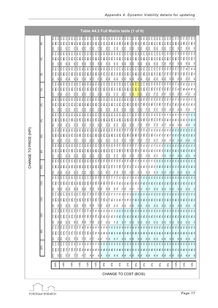|                       |                | Table A4.2 Full Matrix table (1 of 6)                                                                                                                                                                                                                                                                                                                                                                                                                                                                                                                                                                                                                                                                                                             |
|-----------------------|----------------|---------------------------------------------------------------------------------------------------------------------------------------------------------------------------------------------------------------------------------------------------------------------------------------------------------------------------------------------------------------------------------------------------------------------------------------------------------------------------------------------------------------------------------------------------------------------------------------------------------------------------------------------------------------------------------------------------------------------------------------------------|
|                       |                | $888888888888888888888888888888$<br>$15%$<br>$12%$                                                                                                                                                                                                                                                                                                                                                                                                                                                                                                                                                                                                                                                                                                |
|                       | 969            | 51%<br>53%<br><b>51%</b><br>$\frac{88}{50}$ % % % % $\frac{88}{4}$ \$ % $\frac{88}{4}$ \$ %<br>13%                                                                                                                                                                                                                                                                                                                                                                                                                                                                                                                                                                                                                                                |
|                       |                | <b>26%</b><br>28%<br>$32\%$<br>$35\%$<br>32%<br>$\frac{28\%}{30\%}$<br><b>23%</b><br>$21\%$<br>$23\%$<br>37%<br>39%<br>35%<br>37%<br>18%<br>49%<br>51%<br>47%<br>44%<br>30%<br>$18%$<br>21%<br>56%<br>52%<br>53%<br>47%<br>49%<br>43%<br>45%<br>41%<br>39%<br>14%<br>24%<br>24% 24%<br>24% 22%<br>$\begin{array}{c c} 35\% \\ 38\% \\ 36\% \\ 33\% \\ 35\% \\ \end{array}$<br>$\begin{array}{r} 19% \\ 21% \\ 19% \\ 19% \\ 19% \\ 19% \\ \hline \end{array}$<br>$\begin{array}{l} 31\% \\ 33\% \\ 31\% \\ 29\% \\ \end{array}$<br>29%<br>26%<br>27%<br>27%<br>41%<br>43%<br>42%<br>40%<br>40%<br>40%<br>40%<br>53%<br>51%<br>$49%$<br>50%<br>49%<br>$48%$<br>$48%$<br>$46%$<br>46%<br>44%<br>$14%$<br>16%<br>14%<br>$12%$<br>$14%$<br>12%<br>10% |
|                       | 4%             | $\begin{array}{l} \texttt{\footnotesize{8.8}} \texttt{\footnotesize{8.8}} \texttt{\footnotesize{8.8}} \texttt{\footnotesize{8.8}} \texttt{\footnotesize{8.8}} \texttt{\footnotesize{8.8}} \texttt{\footnotesize{8.8}} \texttt{\footnotesize{8.8}} \texttt{\footnotesize{8.8}} \texttt{\footnotesize{8.8}} \texttt{\footnotesize{8.8}} \texttt{\footnotesize{8.8}} \texttt{\footnotesize{8.8}} \texttt{\footnotesize{8.8}} \texttt{\footnotesize{8.8}} \texttt{\footnotesize{8.8}} \texttt{\footnotesize{8.8}} \texttt{\footnotesize{8$<br>54%<br>52%<br>50%<br>51%<br>49%<br>$47%$<br>$47%$<br>$47%$<br>$47%$<br>45%<br>$42%$<br>44%<br>$\begin{array}{l} 15\% \\ 15\% \\ 15\% \\ 13\% \end{array}$                                               |
|                       |                | 26%<br>45%<br>$32%$<br>$35%$<br>30%<br><b>26%</b><br>$21\%$<br>$23\%$<br>50%<br>$41%$<br>$43%$<br>$39%$<br>42%<br>35%<br>37%<br>30%<br>32%<br>23%<br>$\frac{18%}{21%}$<br>45%<br>$\frac{37%}{40%}$<br>28%<br>16%<br>18%<br>55%<br>50%<br>52%<br>47%<br>13%<br>16%<br>11%                                                                                                                                                                                                                                                                                                                                                                                                                                                                          |
|                       |                | 41%<br>$44%$<br>42%<br>$\begin{array}{r} 41\% \\ 40\% \\ 37\% \\ 99\% \\ 38\% \\ 38\% \\ 38\% \\ 38\% \\ 38\% \\ \end{array}$<br>$\frac{44\%}{46\%}$<br>52%<br>50%<br>47%<br>9%<br>11%<br>9%<br>6%                                                                                                                                                                                                                                                                                                                                                                                                                                                                                                                                                |
|                       | 2%             | *****************<br>25%<br>27%<br>25%<br>42%<br>45%<br>43%<br>40%<br>42%<br>$40%$<br>$38%$<br>28%                                                                                                                                                                                                                                                                                                                                                                                                                                                                                                                                                                                                                                                |
|                       |                | $33\%$<br>$35\%$<br>28%<br>23%<br>25%<br>23%<br>$30\%$<br>$33\%$<br><b>28%</b><br>30%<br>26%<br>20%<br>39%<br>41%<br>35%<br>$18%$<br>$20%$<br>$\frac{45\%}{18\%}$<br>13%<br>15%<br>46%<br>48%<br>43%<br>43%<br>37%<br>40%<br>$\frac{10\%}{13\%}$<br>53%<br>49%<br>50%<br>45%<br>41%<br>8%                                                                                                                                                                                                                                                                                                                                                                                                                                                         |
|                       |                | 32%<br>29%<br>$\begin{array}{c c} 18\% \\ 15\% \\ 18\% \\ 16\% \\ \end{array}$<br>$43%$<br>$45%$<br>$43%$<br>35%<br>38%<br>36%<br>31%<br>26%<br>29%<br>27%<br>24%<br>$46%$<br>$46%$<br>$46%$<br>40%<br>43%<br>41%<br>38%<br>33%<br>36%<br>34%<br>$\frac{31\%}{34\%}$<br>29%<br>24%<br>21%<br>23%<br>21%<br>$\frac{18\%}{20\%}$<br>$\begin{array}{l} 13\% \\ 15\% \\ 13\% \\ 13\% \\ 13\% \\ 10\% \\ 10\% \\ \hline 8\% \\ 9\% \\ 3\% \\ 3\% \end{array}$<br>38%<br>40%<br>26%                                                                                                                                                                                                                                                                     |
|                       | 0%             | । २००६ में स्वादी से संस्था के स्थान प्रथम के अधिक अभव देश के प्रथम <mark>के अधि</mark> य <b>प्रयंत के की को अधिक के बाद के बा</b><br> अधि में से से स्वादी से से अमित अक्षेत्र में अपने अभियोज के अधिक सं <mark>भार से अ</mark> धियोगित के की को अधिक अधिक के                                                                                                                                                                                                                                                                                                                                                                                                                                                                                    |
|                       |                | $33\%$<br>31%<br>33%<br>28%<br>31%<br>26%<br>25%<br>42%<br>35%<br>38%<br>23%<br><b>20%</b><br>20%<br>47%<br>42%<br>37%<br>40%<br>17%<br>15%<br>17%<br>12%<br>$\frac{96}{10\%}$<br>52%<br>48%<br>45%<br>$10%$<br>$12%$<br>40%<br>5%<br>48%<br>46%<br>$\begin{array}{l} 43\% \\ 45\% \\ 43\% \\ 40\% \\ 42\% \\ 40\% \end{array}$<br>37%<br>40%<br>38%<br>$\frac{18%}{18%}$<br>35%<br>37%                                                                                                                                                                                                                                                                                                                                                           |
|                       | $-2%$          | ୍ଷା ।<br>ଜାଞ୍ଚ କାର କାର କାର ସ୍ଥାନ କାର ସ୍ଥାନ କାର୍ଯ୍ୟ କାର୍ଯ୍ୟ କାର୍ଯ୍ୟ କାର୍ଯ୍ୟ କାର୍ଯ୍ୟ କାର୍ଯ୍ୟ କାର୍ଯ୍ୟ କାର୍ଯ୍ୟ କାର୍ଯ୍ୟ<br>ଜାଞ୍ଚ କାର କାର୍ଯ୍ୟ କାର୍ଯ୍ୟ କାର୍ଯ୍ୟ କାର୍ଯ୍ୟ କାର୍ଯ୍ୟ କାର୍ଯ୍ୟ କାର୍ଯ୍ୟ କାର୍ଯ୍ୟ କାର୍ଯ୍ୟ କାର୍ଯ୍ୟ କାର୍ଯ୍ୟ କାର୍ଯ୍ୟ କାର<br>$88$<br>$47$<br>$88$<br>$88$<br>$88$<br>$88$<br>$88$<br>$89$<br>$89$<br>$89$<br>$89$<br>$89$<br>$89$<br>$41%$<br>39%                                                                                                                                                                                                                                                                                                                                                                                       |
|                       |                | 28%<br>30%<br><b>25%</b><br>23%<br>25%<br><b>20%</b><br>$\frac{14\%}{17\%}$<br>44%<br>39%<br>39%<br>32%<br>36%<br>$\frac{8}{33\%}$<br>$17%$<br>20%<br>$12\%$<br>14%<br>50%<br>45%<br>34%<br>37%<br>$9\%$<br>12%<br>42%<br>6%<br>9%<br>4%<br>1%                                                                                                                                                                                                                                                                                                                                                                                                                                                                                                    |
|                       |                | $\frac{18}{36}$ $\frac{18}{36}$ $\frac{18}{36}$ $\frac{18}{36}$ $\frac{18}{36}$ $\frac{18}{36}$ $\frac{18}{36}$ $\frac{18}{36}$ $\frac{18}{36}$ $\frac{18}{36}$ $\frac{18}{36}$ $\frac{18}{36}$ $\frac{18}{36}$ $\frac{18}{36}$ $\frac{18}{36}$ $\frac{18}{36}$ $\frac{18}{36}$ $\frac{18}{36}$ $\frac{1$<br>$rac{8}{4}$<br>$rac{8}{4}$<br>$rac{8}{4}$<br>$rac{8}{4}$<br>$\frac{8}{36}$ $\frac{8}{36}$ $\frac{8}{36}$ $\frac{8}{36}$ $\frac{8}{36}$ $\frac{8}{36}$<br>46%<br>44%                                                                                                                                                                                                                                                                  |
|                       | 4%             | $\begin{array}{l} 47\% \\ 45\% \\ 47\% \\ 47\% \\ 48\% \\ 49\% \\ 49\% \\ 49\% \\ 49\% \\ 49\% \\ 49\% \\ 49\% \\ 49\% \\ 49\% \\ 49\% \\ 49\% \\ 49\% \\ 49\% \\ 49\% \\ 49\% \\ 49\% \\ 49\% \\ 49\% \\ 49\% \\ 49\% \\ 49\% \\ 49\% \\ 49\% \\ 49\% \\ 49\% \\ 49\% \\ 49\% \\ 49\% \\ 49\% \\ 49\% \\ 49$                                                                                                                                                                                                                                                                                                                                                                                                                                     |
|                       |                | 29%<br>33%<br>27%<br>30%<br>25%<br>27%<br>22%<br>25%<br>42%<br>37%<br>$31%$<br>$34%$<br><b>20%</b><br>$\frac{96}{14%}$<br>48%<br>40%<br>37%<br>17%<br>20%<br>14%<br>9621<br>$9%$<br>11%<br>43%<br>39%<br>34%<br>6%<br>9%<br>3%<br>$0\%$<br>3%<br>0%                                                                                                                                                                                                                                                                                                                                                                                                                                                                                               |
|                       |                | 44%<br>42%<br>38%<br>41%<br>39%<br>$35\%$<br>38%<br>35%<br>33%<br>30%<br>30%<br>32%                                                                                                                                                                                                                                                                                                                                                                                                                                                                                                                                                                                                                                                               |
|                       | $%9 -$         |                                                                                                                                                                                                                                                                                                                                                                                                                                                                                                                                                                                                                                                                                                                                                   |
|                       |                | 25%<br>27%<br>$22%$<br>$24%$<br>40%<br>34%<br>34%<br>29%<br>32%<br>26%<br>30%<br>$19%$<br>$22%$<br>14%<br>16%<br>46%<br>40%<br>43%<br>37%<br>32%<br>16%<br>19%<br>$\frac{96}{14}\frac{11}{14}$<br>$\frac{8\%}{11\%}$<br>$5\%$<br>$8\%$<br>$2\%$<br><b>0%</b><br>2%<br>0%<br>$\delta$                                                                                                                                                                                                                                                                                                                                                                                                                                                              |
|                       |                | 36%<br>$33%$<br>$31%$<br>28%<br>$\frac{24\%}{27\%}$<br>25%<br>42%<br>37%<br>$30\%$<br>$30\%$<br>21%<br>25%<br>23%                                                                                                                                                                                                                                                                                                                                                                                                                                                                                                                                                                                                                                 |
|                       | $-8\%$         | $19%$<br>21%<br>23%<br>27%<br>22%<br>24%<br>16%<br>19%<br>44%<br>38%<br>$35%$<br>$38%$<br>32%<br>29%<br>32%<br>26%<br>29%<br>0%<br>16%<br>10%<br>7%<br>10%<br>35%<br>4%7%<br>$1%$<br>4%<br>0%<br>$0\%$<br>$\frac{8}{6}$<br>0%                                                                                                                                                                                                                                                                                                                                                                                                                                                                                                                     |
|                       |                | 34%<br>35%<br>35%<br>31%<br>29%<br>40%<br>38%<br>34%<br>32%<br>28%<br>8888888<br>8 8 8 8 8                                                                                                                                                                                                                                                                                                                                                                                                                                                                                                                                                                                                                                                        |
| CHANGE TO PRICE (HPI) | $^{9/01}$ -10% | $\frac{26%}{29%}$<br>$23%$<br>$26%$<br>$25%$<br>$23%$<br>$25%$<br>$47%$<br>$38%$<br>$38%$<br>$38%$<br>$38%$<br>$\begin{array}{l} 32\% \\ 35\% \\ \textbf{33\%} \\ \textbf{29\%} \end{array}$<br>32%<br>30%<br>$\begin{array}{l} \mathbb{Z}^8 \setminus \mathbb{Z}^8 \setminus \mathbb{Z}^8 \setminus \mathbb{Z}^8 \setminus \mathbb{Z}^8 \setminus \mathbb{Z}^8 \setminus \mathbb{Z}^8 \setminus \mathbb{Z}^8 \setminus \mathbb{Z}^8 \setminus \mathbb{Z}^8 \setminus \mathbb{Z}^8 \setminus \mathbb{Z}^8 \setminus \mathbb{Z}^8 \setminus \mathbb{Z}^8 \setminus \mathbb{Z}^8 \setminus \mathbb{Z}^8 \setminus \mathbb{Z}^8 \setminus \mathbb{Z}^8 \setminus \mathbb{Z}^8 \setminus \mathbb{$                                                    |
|                       |                | 21%<br>24%<br>15%<br>18%<br>30%<br>30%<br>$\frac{18%}{21%}$<br>43%<br>33%<br>36%<br>33%<br>27%<br>24%<br>$12\%$<br>$9%$<br>$12%$<br>36%<br>39%<br>$6\%$<br>9%<br>3%<br>$0\%$<br>3%<br><b>0%</b><br>0%<br>$\frac{8}{6}$<br>0%<br>0%<br>$\delta$                                                                                                                                                                                                                                                                                                                                                                                                                                                                                                    |
|                       |                | 0%<br>34%<br>30%<br>21%<br>27%<br>28%<br>24%<br>27%<br>25%                                                                                                                                                                                                                                                                                                                                                                                                                                                                                                                                                                                                                                                                                        |
|                       | $-12%$         |                                                                                                                                                                                                                                                                                                                                                                                                                                                                                                                                                                                                                                                                                                                                                   |
|                       |                | <b>26%</b><br><b>23%</b><br>29%<br>32%<br>39%<br>32%<br>35%<br>$\frac{98}{96}$<br>$\frac{8}{3}$                                                                                                                                                                                                                                                                                                                                                                                                                                                                                                                                                                                                                                                   |
|                       |                |                                                                                                                                                                                                                                                                                                                                                                                                                                                                                                                                                                                                                                                                                                                                                   |
|                       | $-14%$         | ************                                                                                                                                                                                                                                                                                                                                                                                                                                                                                                                                                                                                                                                                                                                                      |
|                       |                | 29%<br>22%<br>$12%$<br>15%<br>36%<br>29%<br>32%<br>25%<br>22%<br>25%<br>15%<br>19%<br>19%<br>$\frac{9\%}{12\%}$<br>$0\%0$<br>6%<br>9%<br>0%0<br>0%0<br>0%0%<br>0%0<br>0%0%<br>0%<br>2%<br>$0%$<br>2%<br>$\delta$                                                                                                                                                                                                                                                                                                                                                                                                                                                                                                                                  |
|                       |                | 30%<br>27%                                                                                                                                                                                                                                                                                                                                                                                                                                                                                                                                                                                                                                                                                                                                        |
|                       | $-16%$         | <b>ಲಿ</b> ಕೆ ಕೆ ಕೆ<br><b>కి</b> కీ కీ కీ<br>88888<br>8%<br>0%<br>8 8 8 8 8 8 8 8 8 8 8 8 8 8                                                                                                                                                                                                                                                                                                                                                                                                                                                                                                                                                                                                                                                      |
|                       |                | <b>22%</b><br>25%<br>18%<br>15%<br>18%<br>33%<br>22%<br>11%<br>15%<br>$8%$<br>11%<br>25%<br>$1%$<br>5%<br>0%<br>$5%$<br>$8%$<br>0%<br>$0\%$<br>0%<br>0%<br>0%<br>0%<br>$rac{8}{1}$<br>$\frac{8}{6}$<br>$\delta$                                                                                                                                                                                                                                                                                                                                                                                                                                                                                                                                   |
|                       |                |                                                                                                                                                                                                                                                                                                                                                                                                                                                                                                                                                                                                                                                                                                                                                   |
|                       | $-18%$         | 8888888888888                                                                                                                                                                                                                                                                                                                                                                                                                                                                                                                                                                                                                                                                                                                                     |
|                       |                | $\frac{11%}{14%}$<br>$18%$<br>22%<br>14%<br>$7%$<br>11%<br>30%<br>22%<br>26%<br>18%<br>$\frac{8}{6}$<br>4%7%<br>1%<br>0%<br>1%<br>$\frac{8}{3}$<br>$\frac{8}{6}$<br>$0\%$<br>0%<br>0%<br>0%<br><b>0%</b><br>0%<br>0%<br>0%<br>$\delta$                                                                                                                                                                                                                                                                                                                                                                                                                                                                                                            |
|                       | $-20%$         | 24%<br>21%<br>$\begin{array}{r} 16\% \\ 20\% \\ 17\% \\ 12\% \\ 16\% \\ 19\% \\ 12\% \\ 12\% \\ 12\% \\ 9\% \\ \end{array}$<br>$\frac{8}{9}$ $\frac{8}{8}$ $\frac{8}{8}$ $\frac{8}{8}$ $\frac{8}{8}$ $\frac{8}{8}$ $\frac{8}{8}$ $\frac{8}{8}$ $\frac{8}{8}$ $\frac{8}{8}$ $\frac{8}{8}$ $\frac{8}{8}$ $\frac{8}{8}$ $\frac{8}{8}$ $\frac{8}{8}$ $\frac{8}{8}$ $\frac{8}{8}$ $\frac{8}{8}$ $\frac{8}{8}$ $\frac{8}{8}$ $\frac{8}{8}$ $\frac{8}{8}$                                                                                                                                                                                                                                                                                                |
|                       |                | 88.888888888888888<br>°°<br>ಿ<br>೦%<br>క<br>°°€<br>$\frac{8}{6}$<br>ŏ,                                                                                                                                                                                                                                                                                                                                                                                                                                                                                                                                                                                                                                                                            |
|                       |                | $\frac{26}{11%}$<br>27%<br>15%<br>11%<br>15%<br>19%<br>0%<br>0%<br>0%<br>0%<br>0%<br>0%<br><b>0%</b><br>0%<br>$0\%$<br>0%<br>3%7%<br>0%<br>3%<br>$\frac{8}{6}$<br>$\frac{8}{3}$<br>ಂ                                                                                                                                                                                                                                                                                                                                                                                                                                                                                                                                                              |
|                       |                | $-20%$<br>$-18%$<br>$-12%$<br>$-10%$<br>$+10%$<br>$-16%$<br>$-14%$<br>14%<br>12%<br>$-6%$<br>$-4%$<br>$-2%$<br>$-8%$<br>$\delta_{\rm 6}$<br>2%<br>4%<br>8%<br>6%                                                                                                                                                                                                                                                                                                                                                                                                                                                                                                                                                                                  |
|                       |                | CHANGE TO COST (BCIS)                                                                                                                                                                                                                                                                                                                                                                                                                                                                                                                                                                                                                                                                                                                             |
|                       |                |                                                                                                                                                                                                                                                                                                                                                                                                                                                                                                                                                                                                                                                                                                                                                   |

**FORDHAM RESEARCH**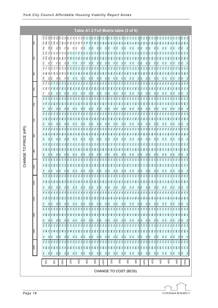| $900^{\circ}$ |               |                                                                                                                                                |     |      |               |        |                |     |      |                |     |               |     |               |     |               |            |               |     |                 |     |               |          |          |               |     |               |               |               |          |               |     |               |     |                   |    |                                |  |
|---------------|---------------|------------------------------------------------------------------------------------------------------------------------------------------------|-----|------|---------------|--------|----------------|-----|------|----------------|-----|---------------|-----|---------------|-----|---------------|------------|---------------|-----|-----------------|-----|---------------|----------|----------|---------------|-----|---------------|---------------|---------------|----------|---------------|-----|---------------|-----|-------------------|----|--------------------------------|--|
|               |               |                                                                                                                                                |     |      |               |        |                |     |      |                |     |               |     |               |     |               |            |               |     |                 |     |               |          |          |               |     |               |               |               |          |               |     |               |     |                   |    |                                |  |
|               | 16%           | $12%$<br>$14%$                                                                                                                                 |     |      | $9\%$<br>12%  |        | $7\%$          |     |      | $rac{8}{6}$    |     | 2%            |     | $\frac{8}{2}$ |     | စီး           |            | ರಿ%           |     | $\frac{8}{6}$   |     | ಂ%            |          | ိုး      |               |     | စိစီး         |               | စီးြီ         |          | $rac{8}{6}$   |     | ం శ           |     | $rac{8}{6}$       |    | စိစီး                          |  |
|               |               | $888$ $888$                                                                                                                                    |     |      |               |        |                |     |      |                |     |               |     |               |     |               |            |               |     |                 |     |               |          |          |               |     |               |               |               |          |               |     |               |     |                   |    | နီးနီ နီ နီ                    |  |
| 4%            |               |                                                                                                                                                |     |      |               |        |                |     |      |                |     |               |     |               |     |               |            |               |     |                 |     |               |          |          |               |     |               |               |               |          |               |     |               |     |                   |    |                                |  |
|               | $\frac{8}{8}$ | $\frac{9%}{11%}$                                                                                                                               |     |      | 7%            |        | 4%5%           |     |      | $\frac{8}{3}$  |     | $rac{8}{10}$  |     | စိုး          |     | စီး           | ఠి క       |               |     | ိစီ             |     | ಕಿ ಕೆ         |          | ం క      |               |     | $\frac{8}{6}$ |               | $rac{8}{6}$   |          | $rac{8}{6}$   |     | ం శ           |     | စီး               |    | စိစီး                          |  |
|               |               |                                                                                                                                                |     |      |               |        |                |     |      |                |     |               |     |               |     |               |            |               |     |                 |     |               |          |          |               |     |               |               |               |          |               |     |               |     |                   |    |                                |  |
| $2\%$         |               |                                                                                                                                                |     |      |               |        |                |     |      |                |     |               |     |               |     |               |            |               |     |                 |     |               |          |          |               |     |               |               |               |          |               |     |               |     |                   |    |                                |  |
|               | 10%           | $\frac{8}{8}$                                                                                                                                  |     |      | న క           |        | $1\%$          |     |      | ိဳုိ           |     | $\frac{8}{3}$ |     | 8 %<br>0%     |     | ిం            | ို စီး စီး |               |     |                 |     |               |          |          | 8 8 8 8 8 8 8 |     |               |               | ్ద<br>ర       |          | $\frac{8}{3}$ |     | $\frac{8}{3}$ |     | $\frac{8}{6}$     |    | $\frac{8}{3}$                  |  |
|               |               |                                                                                                                                                |     |      |               |        |                |     |      |                |     |               |     |               |     |               |            |               |     |                 |     |               |          |          |               |     |               |               |               |          |               |     |               |     |                   |    |                                |  |
| °°,           |               |                                                                                                                                                |     |      |               |        |                |     |      |                |     |               |     |               |     |               |            |               |     |                 |     |               |          |          |               |     |               |               |               |          |               |     |               |     |                   |    |                                |  |
|               | ř             | $2\%$                                                                                                                                          |     | ಂ ಸ  |               |        | ం క            |     | ಕಿ ಕ |                |     | ం కి          |     | ిం క          |     | ಶಿಂ           | ం కి       |               |     | ಕ∥ಕ             |     | <b>0%</b>     |          |          | ಿಂ            |     | 88            |               | ం క           |          | $\frac{8}{3}$ |     | 8 %           |     | $\frac{8}{6}$     |    | 0%                             |  |
|               |               |                                                                                                                                                |     |      |               |        |                |     |      |                |     |               |     |               |     |               |            |               |     |                 |     |               |          |          |               |     |               |               |               |          |               |     |               |     |                   |    |                                |  |
| $2\%$         |               | ** * 8 8 \$ 8 8 \$ \$ 8 8 \$ 8 8 \$ 8 8 \$ 8 8 \$ 8 8 \$ 8 8 \$ 8 8 \$ 8 8 \$ 8 8 \$ 8 8 \$ 8 8 \$ 8 8 \$ 8 8 \$ 8 8 \$ 8 8 \$ 8               |     |      |               |        |                |     |      |                |     |               |     |               |     |               |            |               |     |                 |     |               |          |          |               |     |               |               |               |          |               |     |               |     |                   |    |                                |  |
|               |               | 1%                                                                                                                                             |     |      | $\frac{8}{3}$ |        | ీ⊳క            |     |      | $\frac{8}{10}$ |     | $\frac{8}{3}$ |     | $0\%0$        |     | 0%            | ం కి       |               |     | $\frac{98}{9}$  |     | ಂ%            |          |          | 0%            |     | $\frac{8}{3}$ |               | ಿಂ ಕ          |          | 0%0%          |     | $\frac{8}{6}$ |     | $\frac{8}{5}$     |    | $\frac{8}{3}$                  |  |
|               |               | ර් කීත්ති කීත්ති කීත්ති කීත්ති කීත්ති කීත්ති කීත්ති කීත්ති කීත්ති කීත්ති කීත්ති කීත්ති කීත්ති කීත්ති කීත්ති කීත්ත                              |     |      |               |        |                |     |      |                |     |               |     |               |     |               |            |               |     |                 |     |               |          |          |               |     |               |               |               |          |               |     |               |     |                   |    |                                |  |
|               |               |                                                                                                                                                |     |      |               |        |                |     |      |                |     |               |     |               |     |               |            |               |     |                 |     |               |          |          |               |     |               |               |               |          |               |     |               |     |                   |    | 8888888                        |  |
| 4%            | š             | $\frac{6}{9}$                                                                                                                                  |     |      | 0%            |        | စိစီ           |     |      | $\frac{8}{5}$  |     | $\frac{8}{6}$ |     | $\frac{8}{6}$ |     | $\frac{8}{6}$ | ఠి క       |               |     | ಕಿ ँ            |     | 0%            |          | ిం<br>0% |               |     | $\frac{8}{6}$ |               | ఠ క           |          | $rac{8}{6}$   |     | 0%<br>0%      |     | စီး               |    | $\frac{8}{3}$                  |  |
|               |               |                                                                                                                                                |     |      |               |        |                |     |      |                |     |               |     |               |     |               |            |               |     |                 |     |               |          |          |               |     |               |               |               |          |               |     |               |     |                   |    |                                |  |
|               |               | 8 కి కీ(కీ కి కి కీ కి కి కీ కి కి కీ కి కి కీ కి కి కి కీ కి కి కీ కి కి కీ కి కి కీ కీ కి కి కీ కీ కి కీ కి కి కి కీ కీ కి కీ కీ కి కీ కి కి |     |      |               |        |                |     |      |                |     |               |     |               |     |               |            |               |     |                 |     |               |          |          |               |     |               |               |               |          |               |     |               |     |                   |    |                                |  |
| $-6\%$        |               | ిక క                                                                                                                                           |     |      |               |        |                |     | ಿಂ   |                |     | ్టి కో<br>ర   |     | 0%            |     |               |            |               |     |                 |     |               |          |          |               |     |               |               |               |          |               |     | ం శ           |     | $\frac{9\%}{0\%}$ |    | ಿಂ <sup>%</sup>                |  |
|               | š             |                                                                                                                                                |     | రిం  |               |        | ం న            |     |      |                |     |               |     |               |     | ్ల<br>రా      | ం<br>రా    |               |     | ఄ౹ఀ             |     | ం న           |          |          | ಿ ಶಿಂತಿ ಶಿಂತಿ |     |               | $\frac{8}{3}$ |               | ం క      |               |     |               |     |                   |    |                                |  |
|               |               |                                                                                                                                                |     |      |               |        |                |     |      |                |     |               |     |               |     |               |            |               |     |                 |     |               |          |          |               |     |               |               |               |          |               |     |               |     |                   |    |                                |  |
| -8%           |               |                                                                                                                                                |     |      |               |        |                |     |      |                |     |               |     |               |     |               |            |               |     |                 |     |               |          |          |               |     |               |               |               |          |               |     |               |     |                   |    |                                |  |
|               | š             | $\frac{8}{6}$                                                                                                                                  |     |      | စိစီး         |        | ఠ క            |     |      | ိဳျီ           |     | $\frac{8}{3}$ |     | ಂ%            |     | ం<br>రా       |            | ం న           |     | ိစိုး           |     | ಂ%            |          |          | ಾಂ<br>ಶಾ      |     | ిం క          |               | ఠ క           | ఠ క      |               |     | ఠో ల          |     | စိုး              |    | $\frac{8}{6}$                  |  |
|               |               |                                                                                                                                                |     |      |               |        |                |     |      |                |     |               |     |               |     |               |            |               |     |                 |     |               |          |          |               |     |               |               |               |          |               |     |               |     |                   |    |                                |  |
| $-10%$        |               |                                                                                                                                                |     |      |               |        |                |     |      |                |     |               |     |               |     |               |            |               |     |                 |     |               |          |          |               |     |               |               |               |          |               |     |               |     |                   |    |                                |  |
|               | ŏ             | ఄఄఄ                                                                                                                                            |     | ఄఀ   |               |        | ిం క           |     |      | $\frac{8}{10}$ |     | ఄఀఀ           |     | <b>0%</b>     |     | 0%            | ిం         |               |     | $\frac{98}{96}$ |     |               | စိုး စီး |          |               |     | 0%            |               | ్ల<br>0 న     |          | $\frac{8}{3}$ |     | ిం న          |     | $\frac{8}{10}$    |    | <b>0%</b>                      |  |
|               |               |                                                                                                                                                |     |      |               |        |                |     |      |                |     |               |     |               |     |               |            |               |     |                 |     |               |          |          |               |     |               |               |               |          |               |     |               |     |                   |    |                                |  |
|               |               |                                                                                                                                                |     |      |               |        |                |     |      |                |     |               |     |               |     |               |            |               |     |                 |     |               |          |          |               |     |               |               |               |          |               |     |               |     |                   |    |                                |  |
| $-12%$        | ŏō            | $\frac{8}{3}$                                                                                                                                  |     |      | $\frac{8}{3}$ |        | ఄఀఀ            |     | ္တီး |                |     | ಂ%            |     | 0%0%          |     | ం శ           | ಿಂ         |               |     | $\frac{98}{96}$ |     | ఄఀఀ           |          |          | ం%            |     | ిం            |               | ఄఀఀ           | ిం       |               |     | $\frac{8}{6}$ |     | $\frac{8}{5}$     |    | 0%0%                           |  |
|               |               |                                                                                                                                                |     |      |               |        |                |     |      |                |     |               |     |               |     |               |            |               |     |                 |     |               |          |          |               |     |               |               |               |          |               |     |               |     |                   |    | 8 8 8 8                        |  |
|               |               |                                                                                                                                                |     |      |               |        |                |     |      |                |     |               |     |               |     |               |            |               |     |                 |     |               |          |          |               |     |               |               |               |          |               |     |               |     |                   |    |                                |  |
| $-14%$        |               | 8 కి బీబీ కి బీబీ కి బీబీ కి బీబీ కి బీబీ కి బీబీ కి బీబీ కి బీబీ కి పీబీ కి బీబీ కి బీబీ కి పీబీ కి బీబీ కి బీబీ కి బీబీ కి బీ                |     |      |               |        |                |     |      |                |     |               |     |               |     |               |            |               |     |                 |     |               |          |          |               |     |               |               |               |          |               |     |               |     |                   |    |                                |  |
|               |               | ఄఀఀ                                                                                                                                            |     | ఄఀ౹ఀ |               |        | $\frac{6}{9}$  |     |      | ိုး            |     | ്റ് ്         |     | ఄఀఀ           |     | စီး           |            | ం కి          |     | ိုး             |     | ఄఀఀ           |          |          | ం%            |     | ్ద<br>0 న     |               | ီး            |          | $\frac{8}{3}$ |     | $\frac{8}{3}$ |     | $\frac{8}{10}$    |    | 0%                             |  |
|               |               |                                                                                                                                                |     |      |               |        |                |     |      |                |     |               |     |               |     |               |            |               |     |                 |     |               |          |          |               |     |               |               |               |          |               |     |               |     |                   |    |                                |  |
| $-16%$        |               |                                                                                                                                                |     |      |               |        |                |     |      |                |     |               |     |               |     |               |            |               |     |                 |     |               |          |          |               |     |               |               |               |          |               |     |               |     |                   |    | ျွန်း နွံ့ နွံ့ဖြင့် နွံ့ နွံ့ |  |
|               | š             | $\frac{6}{3}$                                                                                                                                  |     |      | စီး           |        |                |     |      | စိုးစိ         |     | °°€           |     | $\frac{8}{6}$ |     | $\frac{8}{6}$ |            | $\frac{8}{3}$ |     | ိဳျီ            |     | $\frac{8}{6}$ |          |          | $\frac{8}{6}$ |     | $\frac{8}{6}$ | $\delta$      | b%            |          | $rac{8}{6}$   |     | ం శ           |     | စီး               |    | $rac{8}{6}$                    |  |
|               |               |                                                                                                                                                |     |      |               |        |                |     |      |                |     |               |     |               |     |               |            |               |     |                 |     |               |          |          |               |     |               |               |               |          |               |     |               |     |                   |    |                                |  |
|               |               |                                                                                                                                                |     |      |               |        |                |     |      |                |     |               |     |               |     |               |            |               |     |                 |     |               |          |          |               |     |               |               |               |          |               |     |               |     |                   |    |                                |  |
| $-18%$        |               | နီ <b>နီ</b> နီ နီ <b>နီ</b>                                                                                                                   |     |      |               |        |                |     |      |                |     |               |     |               |     |               |            |               |     |                 |     |               |          |          |               |     |               |               |               |          |               |     |               | క   |                   |    | စီး စီး စီး စီး                |  |
|               |               | စီး                                                                                                                                            |     |      | စီးြီ         |        | $\frac{8}{10}$ |     | ŏ°   | š              |     | s‰<br>S       |     | $\frac{8}{6}$ |     | $\frac{8}{6}$ |            | ం క           |     | ိဳျီ            |     | $\frac{8}{3}$ |          |          | စီး           |     | $\frac{8}{6}$ |               | $rac{8}{6}$   | $\delta$ |               |     | ం శ           |     |                   | ŏ° | $\frac{8}{6}$                  |  |
|               |               |                                                                                                                                                |     |      |               |        |                |     |      |                |     |               |     |               |     |               |            |               |     |                 |     |               |          |          |               |     |               |               |               |          |               |     |               |     |                   |    |                                |  |
| $-20%$        |               | 5 కి స్టీన్ కి స్టీన్ స్టీన్ స్టీన్ ప్రీన్ ప్రీన్ ప్రీన్ ప్రీన్ ప్రీన్ ప్రీన్ ప్రీన్ ప్రీన్ ప్రీన్ ప్రీన్ ప్రీన్ ప్రీ                          |     |      |               |        |                |     |      |                |     |               |     |               |     |               |            |               |     |                 |     |               |          |          |               |     |               |               |               |          |               |     |               | కి  |                   |    | 8888888                        |  |
|               | ŏ°            | စိစီ                                                                                                                                           |     |      | 0%            |        | $\frac{8}{6}$  |     |      | စီး            |     | $\frac{8}{6}$ |     | $0\%$         |     | $0\%$         |            | $\frac{8}{3}$ |     | ಕಿ ँ            |     | $\frac{8}{3}$ |          |          | ಿಂ            |     | $0\%$         | $\delta$      | $\frac{8}{6}$ |          | ಕೆ ಕೆ         |     | 0%<br>0%      |     | $\frac{8}{6}$     |    | $\frac{8}{6}$                  |  |
|               | 16%           |                                                                                                                                                | 18% |      |               | $+20%$ |                | 22% |      |                | 24% |               | 26% |               | 28% |               | $-30\%$    |               | 32% |                 | 34% |               | 36%      |          |               | 38% |               | $+40%$        |               | 42%      |               | 44% |               | 46% |                   |    | 48%                            |  |
|               |               |                                                                                                                                                |     |      |               |        |                |     |      |                |     |               |     |               |     |               |            |               |     |                 |     |               |          |          |               |     |               |               |               |          |               |     |               |     |                   |    |                                |  |

**Table A1.2 Full Matrix table (2 of 6)** 

**FORDHAM RESEARCH**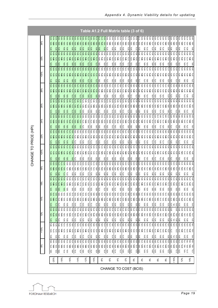|                       |        |                          |                                          |                                               |                                     |                                           | Table A1.2 Full Matrix table (3 of 6)           |                                                    |                          |                            |                          |                                            |                                                                                |                                                        |                                                                                                   |                                                 |                                 |                                                             |                               |                                        |
|-----------------------|--------|--------------------------|------------------------------------------|-----------------------------------------------|-------------------------------------|-------------------------------------------|-------------------------------------------------|----------------------------------------------------|--------------------------|----------------------------|--------------------------|--------------------------------------------|--------------------------------------------------------------------------------|--------------------------------------------------------|---------------------------------------------------------------------------------------------------|-------------------------------------------------|---------------------------------|-------------------------------------------------------------|-------------------------------|----------------------------------------|
|                       |        | 60%<br>60%               | 59%<br>59%<br>60%                        | 59%<br>59%<br>59%<br>58%                      | 58%<br>58%                          | 58%<br>57%<br>59%                         | 58%<br>57%                                      | 57%<br>57%                                         | 55%                      | <b>8%%</b>                 | 55%<br>54%               | <b>62% %</b><br>63% % 51%                  | 53%<br>52%<br>50%                                                              | 51%<br>50%                                             | 48%<br>49%<br>48%<br>46%                                                                          | 48%<br>47%<br>45%                               | 46%<br>45%<br>$\frac{5}{2}$     | 45%<br>44%                                                  | 42%<br>40%<br>43%             | 41%<br>40%                             |
|                       | 34%    | 60%<br>60%               | 60%<br>60%                               | 59%<br>60%<br>58%<br>59%                      | 60%<br>59%<br>58%                   | 60%<br>59%<br>58%                         | 60%<br>59%<br>58%                               | 58%<br>57%                                         | 56%                      | 56%<br>56%                 | $rac{8}{56}$ % 55%       | $rac{8}{54}$ % $rac{8}{5}$<br>52%          | 54%<br>53%                                                                     | $\frac{8}{51}$ %<br>52%<br>57%                         | 50%<br>49%<br>49%                                                                                 | 47%<br>49%<br>47%<br>46%                        | 47%<br>45%<br>44%               | 46%<br>44%<br>43%                                           | 44%<br>42%<br>41%             | 42%<br>40%<br>39%                      |
|                       |        |                          | 60%                                      | 59%<br>58%<br>60%                             | 58%<br>60%                          | 58%<br>60%                                | 58%                                             | 59%                                                | 56%<br>57%               | 55%                        | 56%<br>54%               | 55%<br>52%                                 | 54%<br>51%                                                                     | 52%                                                    | 49%<br>51%<br>47%                                                                                 | 49%<br>46%                                      | 47%<br>44%                      | 46%<br>43%                                                  | 44%                           | 42%                                    |
|                       |        | 60%                      |                                          | 59%<br>59%<br>59%<br>58%                      | 59%<br>58%<br>57%                   | 59%<br>58%<br>56%                         | 59%<br>58%<br>56%                               | 57%<br>56%                                         | 54%<br>55%               | 54%<br>53%                 | 54%<br>53%               | 51%<br>52%<br>52%<br>50%                   | 52%<br>51%                                                                     | $49%$<br>50%<br>49%                                    | 48%<br>47%<br>47%<br>45%                                                                          | 47%<br>46%<br>44%                               | 45%<br>44%<br>42%               | 44%<br>43%<br>41%                                           | 42%<br>39%<br>41%             | 40%                                    |
|                       | 32%    |                          |                                          | 59%<br>58%                                    | 59%<br>58%                          | 60%<br>59%<br>57%                         | 60%<br>59%<br>57%                               | 58%<br>57%                                         | 56%<br>55%               | 55%<br>53%                 | 54%<br>55%<br>52%        | 53%<br>52%<br>51%                          | 53%<br><b>52%</b>                                                              | 50%<br>51%<br>50%                                      | 48%<br>48%<br>49%<br>46%                                                                          | 48%<br>46%<br>45%                               | 46%<br>44%<br>43%               | 45%<br>43%<br>42%                                           | 43%<br>40%                    | 41%<br>39%<br>38%                      |
|                       |        | 60%                      | 60%<br>60%                               | 59%<br>60%<br>58%                             | 58%<br>60%                          | 57%<br>60%                                | 60%<br>57%                                      | 59%                                                | 55%<br>57%               | 54%                        | 56%<br>53%               | 54%<br>51%                                 | 53%                                                                            | 50%<br>51%                                             | 48%<br>50%<br>46%                                                                                 | 48%<br>45%                                      | 46%<br>43%                      | 45%<br>42%                                                  | 43%<br>40%                    | 41%<br>38%                             |
|                       |        | 60%                      | 60%                                      | 59%<br>59%<br>59%<br>58%                      | 58%<br>57%<br>59%                   | 58%<br>56%<br>59%                         | 58%<br>59%<br>56%                               | 57%<br>56%                                         | 54%                      | 55%<br>54%<br>52%          | 54%<br>53%               | 51%<br>52%<br>51%<br>49%                   | 51%<br>50%<br>48%                                                              | %<br>%8%                                               | 47%<br>46%<br>46%<br>44%                                                                          | 46%<br>43%<br>45%                               | 44%<br>43%<br>41%               | 43%<br>42%<br>40%                                           | 41%<br>38%<br>40%             | 39%                                    |
|                       | $+30%$ | 80%<br>80%<br>80%        | 60%                                      | 59%<br>59%<br>60%                             | 59%<br>58%<br>$\frac{8\%}{60\%}$    | 59%<br>57%<br>$60\%$                      | 59%<br>57%<br>60%                               | 58%<br>57%                                         | $55\%$<br>56%            | 55%<br>53%                 | 55%<br>54%               | 52%<br>52%<br>$50\%$                       | 52%<br>51%                                                                     | $49%$<br>50%<br>49%                                    | 47%<br>48%<br>47%<br>45%                                                                          | 47%<br>44%<br>45%                               | 45%<br>43%<br>42%               | 44%<br>42%<br>41%                                           | 42%<br>39%<br>40%             | 40%<br>38%<br>37%                      |
|                       |        |                          | 60%<br>60%                               | 59%<br>60%<br>58%                             | 58%<br>60%                          | 57%<br>60%                                | 60%<br>57%                                      | 59%                                                | 57%<br>55%               | 53%                        | 56%<br>52%               | 54%<br>50%                                 | 53%<br>49%                                                                     | 51%                                                    | 47%<br>49%<br>45%                                                                                 | 47%<br>44%                                      | 45%<br>42%                      | 44%<br>41%                                                  | 42%                           | 39%<br>40%<br>37%                      |
|                       |        |                          |                                          |                                               |                                     | 55%                                       | 58%<br>57%<br>55%                               | 56%<br>55%                                         | 54%<br>53%               | 51%<br>53%                 | 51%<br>53%<br>49%        | 51%<br>47%<br>49%                          | 49%<br>48%                                                                     | 46%<br>47%<br>46%                                      | 45%<br>44%<br>44%<br>42%                                                                          | 44%<br>43%<br>41%                               | 42%<br>41%                      | 41%<br>40%<br>38%                                           | 36%<br>39%                    |                                        |
|                       | 28%    | 60%<br>60%<br>60%        |                                          | 58%<br>58%<br>57%<br>59%                      | 58%<br>57%<br>59%                   | 58%<br>56%<br>59%                         | 57%<br>59%<br>55%                               | 56%<br>57%                                         | 53%<br>55%               | 54%<br>51%                 | 52%<br>53%               | 50%<br>51%<br>50%<br>48%                   | 50%<br>49%                                                                     | $47%$<br>$48%$<br>$47%$                                | 45%<br>46%<br>45%<br>43%                                                                          | 45%<br>43%<br>42%                               | 41%<br>40%<br>43%               | 42%<br>40%<br>39%                                           | 37%<br>40%<br>38%             | 38%<br>36%<br>35%                      |
|                       |        |                          | 60%<br>59%                               | 57%<br>58%<br>59%                             | 57%                                 | 56%                                       | 60%<br>56%                                      | 58%                                                | 56%<br>54%               | 52%                        | 54%<br>50%               | 52%<br>48%                                 | 51%<br>47%                                                                     | 49%                                                    | 47%<br>45%<br>43%                                                                                 | 45%<br>42%                                      | 43%<br>40%                      | 42%<br>39%                                                  | 40%<br>37%                    | 38%<br>35%                             |
|                       |        |                          |                                          |                                               | 56%<br>55%                          | 56%<br>54%                                | 57%<br>56%<br>54%                               | 55%<br>54%                                         | 53%<br>52%               | 52%<br>50%                 | 52%<br>50%               | 48%<br>48%<br>46%                          | 47%                                                                            | 45%<br>45%                                             | 44%<br>43%<br>43%<br>41%                                                                          | 43%<br>42%<br>40%                               | 41%<br>40%                      | 40%<br>38%<br>36%                                           | 38%                           | 36%                                    |
|                       | 26%    | 60%<br>60%<br>60%        |                                          | 59%<br>58%<br>57%                             | 57%<br>56%                          | 58%<br>57%<br>55%                         | <b>56%</b><br>54%<br>58%                        | 55%<br>56%                                         | 54%<br>52%               | 53%<br>50%                 | 51%<br>52%               | 49%<br>50%<br>49%<br>47%                   | 49%<br>48%                                                                     | 46%<br>47%<br>46%                                      | 44%<br>45%<br>44%<br>42%                                                                          | 44%<br>42%<br>41%                               | 42%<br>40%<br>39%               | 40%<br>39%<br>37%                                           | 39%<br>35%<br>37%             | 37%<br>35%<br>33%                      |
|                       |        |                          | 60%<br>59%                               | 58%<br>59%<br>57%                             | 56%                                 | 58%<br>55%                                | 59%<br>55%                                      | 57%                                                | 55%<br>53%               | 51%                        | 53%<br>49%               | 51%<br>47%                                 | 50%<br>46%                                                                     | 48%                                                    | 46%<br>44%<br>42%                                                                                 | 44%<br>41%                                      | 42%<br>39%                      | 41%<br>37%                                                  | 39%<br>36%                    | 37%<br>34%                             |
|                       |        |                          |                                          |                                               | 56%                                 | 55%<br>53%<br>56%                         | 55%<br>53%<br>56%                               | 55%<br>53%                                         | 51%<br>53%               | 52%<br>50%                 | 51%<br>50%<br>48%        | 50%<br>48%<br>46%                          | 48%<br>46%                                                                     | 44%<br>46%<br>45%                                      | 44%<br>43%<br>43%<br>41%                                                                          | 43%<br>41%<br>39%                               | 41%<br>39%                      | 40%<br>38%<br>36%                                           | 38%                           | 36%                                    |
|                       | 24%    | 60%<br>60%               | 60%                                      | 58%<br>56%<br>57%                             | 58%<br>56%<br>55%                   | 57%<br>56%<br>54%                         | 96.25<br><b>55%</b><br>53%                      | 54%<br>55%                                         | 54%<br>52%               | 53%<br>50%                 | 51%<br>52%               | 49%<br>48%<br>50%<br>47%                   | 48%<br>47%                                                                     | $45%$<br>$45%$                                         | 43%<br>45%<br>43%<br>41%                                                                          | 43%<br>42%<br>40%                               | 41%<br>40%<br>$38\%$            | 40%<br>38%<br>36%                                           | 94%<br>39%<br>36%             | 37%<br>35%<br>$\frac{8}{33}$           |
| CHANGE TO PRICE (HPI) |        |                          | 60%<br>59%                               | 58%<br>58%<br>56%                             | 58%<br>56%                          | 57%<br>54%                                | 58%<br>54%                                      | 56%                                                | 55%<br>53%               | 51%                        | 53%<br>49%               | 51%<br>48%                                 | 49%<br>46%                                                                     | 48%                                                    | 44%<br>46%<br>42%                                                                                 | 44%<br>41%                                      | 42%<br>39%                      | 41%<br>37%                                                  | 39%<br>35%                    | 37%                                    |
|                       |        |                          |                                          | 58%<br>56%                                    | 54 %<br>56%<br>55%                  | 54%<br>52%<br>55%                         | 54%<br>52%<br>55%                               | 54%<br>52%                                         | 50%<br>52%               | 50%<br>48%                 | 49%<br>50%               | 47%<br>48%<br>47%<br>45%                   | 47%<br>45%<br>43%                                                              | 45%<br>43%                                             | 43%<br>41%<br>42%<br>40%                                                                          | 41%<br>40%<br>38%                               | 40%<br>38%<br>36%               | 38%<br>36%                                                  | 36%                           | 34%                                    |
|                       | 22%    | 60%<br>60%<br>60%        |                                          | 58%<br>57%<br>56%<br>58%                      | 55%<br>$57\%$                       | 54%<br>56%<br>55%                         | <b>54%</b><br>52%<br>56%                        | 54%<br>53%                                         | 51%<br>52%               | 51%<br>49%<br>51%          | $200\%$                  | 48%<br>45%<br>47%<br>49%                   | 47%<br>46%                                                                     | 44%<br>44%<br>45%                                      | $44%$<br>42%<br>42%                                                                               | 40%<br>40%<br>42%<br>38%                        | 40%<br>39%<br>37%               | 38%<br>37%<br>35%                                           | 35%<br>37%                    | 33%<br>35%<br>33%<br>31%               |
|                       |        |                          | 59%<br>60%                               | 58%<br>56%<br>58%                             | 55%<br>57%                          | 56%<br>53%                                | 57%<br>53%                                      | 55%                                                | $53\%$<br>$52\,\%$       | $50\%$                     | 52%<br>48%               | 50%<br>46%                                 | 48%<br>45%                                                                     | 46%                                                    | 43%<br>45%<br>41%                                                                                 | 43%<br>39%                                      | 41%<br>37%<br>38%               | 39%<br>35%                                                  | 37%                           | 34%<br>35%<br>32%                      |
|                       | $+20%$ |                          | 58%                                      | 58%<br>56%                                    | 54%<br>56%<br>55%                   | 54%<br>52%<br>55%                         | 53%<br>51%<br>54%                               | 51%<br>52%                                         | 49%<br>51%               | 49%<br>47%                 | 47%<br>49%               | 45%<br>47%<br>46%<br>43%                   | 45%<br>44%<br>41%                                                              | 43%<br>42%                                             | 41%<br>40%<br>40%<br>38%                                                                          | 40%<br>36%<br>38%                               | 36%<br>34%                      | 36%<br>34%<br>32%                                           | 34%<br>30%                    | 32%                                    |
|                       |        | 60%<br>60%<br>60%        | 59%<br>58%                               | 58%<br>57%<br>56%<br>58%                      | 57%<br>55%<br>54%                   | 56%<br><b>54%</b><br>52%                  | 53%<br>51%<br>9699                              | 52%<br>53%                                         | 49%<br>51%               | $50\%$<br>48%              | 49%<br>48%               | 46%<br>48%<br>46%<br>44%                   | 46%<br>44%                                                                     | 42%<br>44%<br>43%                                      | 40%<br>41%<br>42%<br>38%                                                                          | 40%<br>39%<br>37%                               | 38%<br>37%<br>35%               | 36%<br>35%<br>33%                                           | 35%<br>33%<br>31%             | 33%                                    |
|                       |        | 60%                      | 60%<br>59%                               | 58%<br>56%<br>58%                             | 57%<br>55%                          | 53%<br>56%                                | 56%<br>52%                                      | 54%                                                | 50%<br>52%               | 48%                        | 50%<br>46%               | 48%<br>45%                                 | 46%<br>43%                                                                     | 45%                                                    | 41%<br>43%<br>39%                                                                                 | 41%<br>37%                                      | 39%<br>35%                      | 37%<br>33%                                                  | 32%<br>35%                    | 34%<br>$\frac{6}{30}$                  |
|                       |        |                          |                                          | 56%<br>56%<br>54%<br>56%                      | 52%<br>55%<br>54%                   | 53%<br>52%<br>50%                         | 52%<br>51%<br>49%                               | 51%<br>50%                                         | 49%<br>48%               | 48%<br>46%<br>48%          | 46%                      | 44%<br>46%<br>44%<br>42%                   | 44%<br>42%                                                                     | $rac{8}{42%}$                                          | 40%<br>38%<br>38%<br>36%                                                                          | 38%<br>36%<br>34%                               | 36%<br>35%<br>32%               | 34%<br>33%<br>30%                                           | 32%                           |                                        |
|                       | 18%    | 59%                      |                                          | 56%<br>54%<br>56%<br>57%                      | 54%<br>52%<br>56%                   | 52%<br>54%<br>50%                         | 53%<br>51%<br>49%                               | 52%<br>51%                                         | 48%<br>50%               | 49%<br>46%                 | 47%<br>48%               | 45%<br>46%<br>45%<br>43%                   | 45%<br>43%<br>41%                                                              | 43%<br>41%                                             | 39%<br>41%<br>39%<br>37%                                                                          | 39%<br>37%<br>35%                               | 37%<br>35%<br>$33\%$            | 35%<br>33%<br>31%                                           | 33%<br>31%<br>29%             | 31%<br>$29\%$                          |
|                       |        | 60%                      | 59%<br>58%                               | 55%<br>57%<br>57%                             | 56%<br>53%                          | 51%<br>55%                                | 54%<br>50%                                      | 48%                                                | 49%<br>48%               | 47%                        | 49%<br>45%               | 47%<br>43%                                 | 45%<br>42%                                                                     | 43%                                                    | 42%<br>40%<br>38%                                                                                 | 40%<br>36%                                      | 38%<br>34%                      | 36%<br>$32\%$                                               | 34%<br>$30\%$                 | 32%<br>28%                             |
|                       | 16%    | 58%                      |                                          | 55%<br>55%<br>53%<br>55%                      | 51%<br>53%<br>54%                   | 51%<br>49%                                | 51%<br>50%<br>47%                               | 50%<br>48%                                         | 46%<br>48%               | 46%<br>44%                 | 46%<br>44%<br>42%        | 44%<br>42%<br>40%                          | 42%<br>40%<br>38%                                                              | 40%<br>38%                                             | 38%<br>36%<br>36%<br>34%                                                                          | 36%<br>35%<br>32%                               | 34%<br>33%<br>30%               | 32%<br>31%                                                  | 26%<br>30%                    | 28%                                    |
|                       |        | <b>59%</b><br>58%        |                                          | 55%<br>55%<br>53%<br>56%                      | 53%<br>51%<br>55%                   | 51%<br>53%<br>49%                         | 52%<br>50%<br>48%                               | 50%<br>49%                                         | 47%<br>49%               | 47%<br>45%                 | 45%<br>47%<br>43%        | 45%<br>43%<br>41%                          | 41%<br>43%                                                                     | 39%<br>41%<br>39%                                      | 39%<br>37%<br>37%<br>35%                                                                          | 37%<br>35%<br>33%                               | $35%$<br>$33%$<br>31%           | 33%<br>31%<br>29%                                           | 31%<br>27%<br>29%             | 29%<br>27%<br>25%                      |
|                       |        | 60%<br>58%<br>57%<br>56% | 58%<br>58%                               | 56%<br>56%                                    | 54%<br>55%                          | 50%<br>52%<br>54%                         | 53%<br>49%                                      | 41%                                                | 47%<br>44%               | 46%<br>47%                 |                          | 44%<br>46%<br>42%                          | 44%                                                                            | 40%<br>42%                                             | 38%<br>40%                                                                                        | 36%<br>38%<br>34%                               | 36%<br>32%<br>32%<br>31%<br>28% | 34%<br>30%<br>30%<br>29%<br>26%                             | 32%<br>*<br>27%<br>28%<br>28% | 28%<br>30%<br>26%                      |
|                       | 14%    | 59%<br>58%<br>57%        |                                          | 54%<br>55%<br>54%<br>52%                      |                                     |                                           |                                                 | $48%$<br>$49%$<br>$49%$<br>$48%$<br>$46%$          | 47%                      | 46%<br>$\frac{43\%}{45\%}$ | 44%                      | 42%<br>39%<br>41%<br>43%                   | 41%<br>40%                                                                     | $37%$<br>$39%$<br>$38%$<br>$35%$                       | $\frac{8}{3}$ $\frac{8}{3}$ $\frac{8}{3}$ $\frac{8}{3}$ $\frac{8}{3}$ $\frac{8}{3}$ $\frac{8}{3}$ | 31%                                             | 33%<br>31%<br>29%               | 31%<br><b>29%</b><br>27%                                    | 29%                           | 25%<br>27%<br><b>25%</b><br>23%        |
|                       |        | 60%                      | 57%<br>57%                               | 55%<br>56%<br>53%                             | 51%<br>54%                          | 53%<br>49%                                | 51%<br>47%                                      | 45%                                                | 46%<br>45%               | 44%                        | 46%<br>42%               | 44%<br>40%                                 | 42%                                                                            | 38%<br>40%                                             | 38%<br>36%<br>34%                                                                                 | 36%<br>32%                                      | 34%                             | $\begin{array}{l} 30\% \\ 32\% \\ 08\% \\ 28\% \end{array}$ |                               | 26%<br>28%                             |
|                       |        | 56%<br>55%               | 55%                                      | 52%<br>53%<br>53%<br>50%                      | 52%                                 | $57%$<br>$48%$<br>$50%$<br>$49%$<br>$46%$ | $47%$<br>$44%$<br>$47%$<br>48%                  |                                                    | 45%<br>43%<br>45%        | 43%<br>41%                 | $42%$<br>41%             | $\frac{39\%}{41\%}$<br>$\frac{41\%}{37\%}$ | $\begin{array}{l} 39\% \\ 37\% \\ 87\% \\ 77\% \\ 88\% \\ 19\% \\ \end{array}$ |                                                        | 34%<br>33%<br>30%                                                                                 | $32%$<br>$31%$<br>$28%$                         | 30%<br>29%<br>26%               | 28%<br>24%                                                  | 26%<br>24%<br>24%             | 20%                                    |
|                       | 12%    | 59%<br>57%<br>56%        |                                          | 51%<br>53%<br>54%                             | 51%<br>53%<br>49%                   | 51%<br>49%<br>47%                         | 49%<br>47%<br>45%                               | 46%<br>48%                                         | 44%<br>46%               | 44%<br>42%                 | 42%<br>43%               | 39%<br>41%<br>40%<br>37%                   | 39%<br>38%                                                                     | 35%<br>37%<br>36%                                      | 34%<br>33%<br>35%<br>31%                                                                          | 33%<br>32%<br>29%                               | 31%<br>29%<br>27%               | 29%<br>27%<br>25%                                           | 27%<br>25%                    | 23%<br>25%                             |
|                       |        | 60%                      | 56%<br>57%                               | 54%<br>55%<br>52%                             | 50%<br>53%                          | 48%<br>52%                                | 46%<br>50%                                      | 48%                                                | 44%<br>46%               | 42%                        | 44%<br>40%               | 42%<br>38%                                 | 40%                                                                            | $36%$<br>$38%$                                         | 34%<br>36%                                                                                        | $32\%$<br>$34\%$<br>30%                         | 32%<br>28%                      | $\begin{array}{r} 30\% \\ 0\% \\ 28\% \\ \end{array}$       |                               | 24%<br>26%<br>229                      |
|                       |        |                          | 8%<br>8%% % % % % % %<br>8%% % % % % % % | 49%                                           | 51%<br>50%                          | 48%<br>45%<br>47%                         | $43%$<br>$43%$<br>47%                           | 4%                                                 | 41%<br>43%               | 41%<br>39%                 | 41%<br>$39\%$            | $\frac{37\%}{39\%}$<br>$37\%$<br>35%       | 37 % % % % % % % % % %                                                         |                                                        | 32 %<br>31 %<br>28 %<br>$30\%$                                                                    | 30%<br>29%<br>26%                               | 28%<br>27%<br>24%               | 26%<br>24%<br>22%                                           | **<br>22%<br>20%<br>20%       |                                        |
|                       | $+10%$ | 8%<br>5% %<br>56%        |                                          | 52%<br>54 %<br><b>52%</b><br>50%              | ្ត្រ<br><b>នេ</b> នឹ ៖ នឹ <b>នឹ</b> |                                           | $48888$<br>$4888$                               | 45%<br>42%<br>46%                                  | 44%                      | 42%<br>$\frac{40\%}{42\%}$ | 40%                      | $38%$<br>35%<br>38%<br>40%                 | 38%<br>36%                                                                     | 33%<br>35%<br>31%                                      | $\frac{28}{33}$ $\frac{28}{35}$ $\frac{28}{35}$ $\frac{28}{35}$ $\frac{28}{35}$                   | 27%                                             | 29%<br>27%<br>25%               | 27%<br>23%                                                  | 25%<br>23%                    | 21%<br>23%<br><b>21%</b><br>19%        |
|                       |        |                          |                                          |                                               |                                     |                                           |                                                 |                                                    |                          |                            |                          |                                            |                                                                                |                                                        |                                                                                                   |                                                 |                                 |                                                             |                               |                                        |
|                       |        | 60%<br>56%               | 55%<br>57%<br>52%<br>53%                 | 53%<br>55%<br>51%<br>49%<br>51%<br>50%<br>47% | 49%<br>53%<br>49%<br>48%            | 47%<br>51%<br>45%<br>47%<br>46%           | 49%<br>45%<br>43%<br>45%<br>$44%$<br>41%<br>44% | 47%<br>42%                                         | 43%<br>45%<br>39%<br>42% | 41%<br>40%<br>37%          | 43%<br>39%<br>37%<br>39% | 41%<br>36%<br>35%<br>37%<br>35%            | 38%<br>34%<br>33%<br>35%<br>33%                                                | 36%<br>$30\%$<br>33%<br>31%                            | 30%<br>32%<br>34%<br>28%<br>30%<br>29%                                                            | 32%<br>28%<br>$\frac{26\%}{28\%}$<br>27%<br>24% | 30%<br>26%<br>26%<br>24%<br>22% | 28%<br>0%<br>23%<br>24%<br>22%<br>20%                       | 26%<br>17%<br>21%             | 22%<br>24%<br>19%<br>19%<br>18%<br>15% |
|                       | $9\%$  | 57% 53%                  |                                          | 50%<br>50%<br>52%                             | 48%<br>48%<br>50%                   | 46%<br>46%<br>48%                         | 44%                                             | $43%$<br>$43%$<br>$43%$<br>$43%$<br>$42%$<br>$42%$ |                          | 38%                        | 38%                      | 36%<br>36%<br>38%                          | 34%<br>36%<br><b>34%</b>                                                       | $\begin{array}{l} 3\% \\ 3\% \\ 3\ 2\% \\ \end{array}$ |                                                                                                   |                                                 |                                 | $22\%$<br>25%<br><b>23%</b><br>20%<br>22%                   | 21%                           | 18%<br>20%<br>$19%$<br>$16%$           |
|                       |        | 58%                      | 53%                                      | 51%<br>53%<br>49%                             | 51%<br>47%                          | 49%                                       | 45%<br>47%                                      | 43%<br>45%                                         | 43%<br>41%               | $\frac{39\%}{41\%}$        |                          | 37%<br>39%                                 | 35%<br>37%                                                                     | 32%                                                    | 32%<br>30%                                                                                        | <b>28%</b><br>30%                               | 26%<br>28%<br>23%               | 26%<br>21%                                                  | 23%<br>19%                    | 21%                                    |
|                       |        |                          |                                          |                                               |                                     |                                           |                                                 |                                                    |                          |                            |                          |                                            |                                                                                |                                                        |                                                                                                   |                                                 |                                 |                                                             |                               |                                        |
|                       |        | $-20%$                   | $-18%$                                   | $-16%$                                        | $-14%$                              | $-12%$                                    | $-10%$                                          | $\frac{8}{9}$                                      |                          | 6%                         | 4%                       | $-2\%$                                     | $0\%$                                                                          | 2%                                                     | 4%                                                                                                | 6%                                              | 8%                              | $+10%$                                                      | 12%                           | 14%                                    |
|                       |        |                          |                                          |                                               |                                     |                                           |                                                 |                                                    |                          |                            |                          |                                            | CHANGE TO COST (BCIS)                                                          |                                                        |                                                                                                   |                                                 |                                 |                                                             |                               |                                        |

**FORDHAM RESEARCH**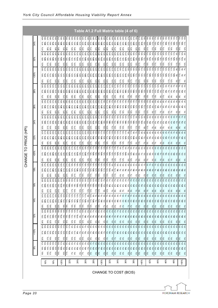|                 |        |     | $\frac{8}{3}$<br>$\frac{8}{3}$<br>$\frac{8}{3}$<br>$\frac{8}{3}$<br>$\frac{8}{3}$ |                | 37%                      | 35%              |                | $36\%$                     | 34%<br>35%<br>34%          |                  | 32%                              | 33%               | 32%            | 30%              |                | 32%<br>31%<br>29%          | 30%           | 29%          |                          | 27%<br>29%<br>28%                                                   | 26%                      |            | 27%<br>26%          | 24%<br>26%<br>24%  |                 | 22%                                                                                                                                                                                                                                                                                                                                                                                                                                    | 24%               | 23%                                                                                               | 21%                 | 22%<br>21%                                | 19%            | 20%<br>21%        | 18%            | 18%<br>19%                                                          | 16%                                 | 17%                       | 16%                                                                                       | 16%                                    | 15%   | $\frac{8}{2}$     | 14%                            |               |                | $12%$<br>$10%$                                                                                                                                                                                                                   |
|-----------------|--------|-----|-----------------------------------------------------------------------------------|----------------|--------------------------|------------------|----------------|----------------------------|----------------------------|------------------|----------------------------------|-------------------|----------------|------------------|----------------|----------------------------|---------------|--------------|--------------------------|---------------------------------------------------------------------|--------------------------|------------|---------------------|--------------------|-----------------|----------------------------------------------------------------------------------------------------------------------------------------------------------------------------------------------------------------------------------------------------------------------------------------------------------------------------------------------------------------------------------------------------------------------------------------|-------------------|---------------------------------------------------------------------------------------------------|---------------------|-------------------------------------------|----------------|-------------------|----------------|---------------------------------------------------------------------|-------------------------------------|---------------------------|-------------------------------------------------------------------------------------------|----------------------------------------|-------|-------------------|--------------------------------|---------------|----------------|----------------------------------------------------------------------------------------------------------------------------------------------------------------------------------------------------------------------------------|
|                 | 34%    |     | $47%$<br>$39%$<br>$37%$<br>$37%$<br>$35%$                                         |                |                          |                  |                | %8%<br>%9%                 |                            |                  | $36%$<br>$34%$<br>$34%$<br>$33%$ |                   |                | 31%              |                |                            |               |              |                          |                                                                     |                          |            |                     |                    |                 |                                                                                                                                                                                                                                                                                                                                                                                                                                        |                   |                                                                                                   |                     |                                           |                |                   |                |                                                                     |                                     |                           |                                                                                           |                                        |       |                   |                                |               |                | $14%$<br>$13%$<br>$11%$                                                                                                                                                                                                          |
|                 |        | 41% | $39%$<br>$38%$                                                                    | 38%<br>39%     |                          | 36%              | 38%            |                            | 35%                        | 36%              | 33%                              | 94%               |                |                  | $33\%$         | 30%                        | 31%           |              | 29%                      | $30\%$                                                              | 28%                      | 28%        |                     | 26%                | 27%             | 24%                                                                                                                                                                                                                                                                                                                                                                                                                                    | 25%               |                                                                                                   | 24%<br>22%          |                                           | 20%            | 23%               | 19%            | 21%                                                                 | 17%                                 | 19%                       | 16%                                                                                       | 17%                                    |       | 14%               | 16%                            |               |                | 12%                                                                                                                                                                                                                              |
|                 |        |     |                                                                                   | 37%            | 36%                      | 34%              |                | $35\,\%$                   | $33\%$                     | $\%$ te          | 31%<br>$33\%$                    | $32\%$            | 31%            |                  | $31%$<br>$29%$ | 27%                        | 29%           | $27\%$       |                          | $\begin{array}{c} \ast \\ \ast \\ \ast \\ \ast \\ \ast \end{array}$ | 24%                      |            | 26%<br>24%          |                    |                 |                                                                                                                                                                                                                                                                                                                                                                                                                                        |                   |                                                                                                   |                     | $\frac{8}{8}$ $\frac{8}{8}$ $\frac{8}{9}$ | 17%            | 18%               | 16%            | 16%<br>$\frac{9}{6}$                                                |                                     | $14%$<br>15%              | 14%                                                                                       | $12%$<br>$14%$                         | 13%   | 11%               | 12%<br>11%                     | 9%            |                | $\frac{96}{80}$                                                                                                                                                                                                                  |
|                 | $32\%$ |     | $40\%$<br>$38\%$<br>$38\%$                                                        |                | 36%                      | 34%              |                | 35%                        | 33%                        | $35\%$<br>$33\%$ | 31%                              | 33%               | 31%            | 29%              | $31\%$<br>30%  | 28%                        |               |              |                          |                                                                     |                          |            |                     |                    |                 |                                                                                                                                                                                                                                                                                                                                                                                                                                        |                   |                                                                                                   |                     |                                           |                |                   |                |                                                                     |                                     |                           |                                                                                           |                                        |       |                   |                                | 10%           | 12%            | $11%$<br>$9%$                                                                                                                                                                                                                    |
|                 |        | 40% |                                                                                   | 37%<br>38%     |                          |                  | 37%            |                            | 34%                        | 35%              | $32\%$                           | 33%               |                | 30%              | 32%            | 29%                        | 30%           |              | 27%                      | 29%                                                                 | 26%                      | 27%        |                     | 24%                | 25%             | 22%                                                                                                                                                                                                                                                                                                                                                                                                                                    | 24%               |                                                                                                   | 22%<br>20%          |                                           | 18%            | 21%               | 17%            | 19%                                                                 | 15%                                 | 17%                       | 14%                                                                                       | 15%                                    |       | 12%               | 14%                            | 11%           | 13%            | 10%                                                                                                                                                                                                                              |
|                 |        |     | 38%<br>37%                                                                        | 35%<br>36%     | 35%                      | 33%              |                | 34%                        | 32%<br>33%<br>32%          |                  |                                  | 30%<br>31%        | $30\%$         | 28%              | 30%            | 26%<br>28%                 | 28%           | 26%          | 24%<br>27%               |                                                                     | 25%<br>23%               |            | 25%<br>23%          | 21%<br>23%<br>21%  |                 |                                                                                                                                                                                                                                                                                                                                                                                                                                        |                   | 19%<br>21%<br>20%                                                                                 |                     | $\frac{18%}{19%}$<br>18%                  | 16%            | 18%<br>17%        | 15%            | 16%                                                                 | $\frac{15%}{13%}$ $\frac{13%}{13%}$ |                           |                                                                                           | $\frac{11%}{13%}$<br>$\frac{12%}{10%}$ |       |                   | 11%<br>10%                     |               | ι°ε            |                                                                                                                                                                                                                                  |
|                 | $+30%$ |     | $35\%$<br>$37\%$<br>$37\%$                                                        |                | 35%                      | 33%              | 36%            | 34%                        | 32%                        |                  | 34%<br>32%<br>30%                | 32%               | 30%            | 28%              | 30%<br>29%     | 27%                        |               |              |                          | 28%<br>27%<br>25%<br>26%                                            | 24%                      |            |                     |                    |                 |                                                                                                                                                                                                                                                                                                                                                                                                                                        |                   |                                                                                                   |                     | $\frac{19%}{20%}$                         |                | 17%<br>19%<br>16% |                | 17%                                                                 | $16%$<br>$14%$                      | 15%<br>14%                |                                                                                           | $\frac{12\%}{14\%}$<br>12%<br>10%      |       |                   | $12%$<br>10%                   | 8%            | 11%            | 8%<br>7%                                                                                                                                                                                                                         |
|                 |        | 39% |                                                                                   | 36%<br>37%     |                          |                  | 36%            |                            | 33%                        | 34%              | 31%                              | 32%               |                | 29%              | 31%            | 28%                        | 29%           |              | 26%                      | 28%                                                                 | 25%                      | 26%        |                     | 23%                | 24%             | 21%                                                                                                                                                                                                                                                                                                                                                                                                                                    | 23%               |                                                                                                   | 21%<br>19%          |                                           | 17%            | 20%               | 16%            | 18%                                                                 | 14%                                 | 16%                       | 12%                                                                                       | 14%                                    |       | 11%               | 12%                            | $\frac{5}{6}$ |                | $8\%$                                                                                                                                                                                                                            |
|                 |        |     | 36%<br>35%                                                                        | 33%<br>34%     |                          |                  |                | 32%                        | $30\%$                     | 31%<br>30%       | 28%                              | 29%               | 28%            | 26%              | 28%            | 26%<br>24%                 | 26%           | 24%          | 22%                      | 25%                                                                 | 23%<br>21%               | 23%        | 21%                 | 19%                | 21%             | 19%<br>17%<br>19%                                                                                                                                                                                                                                                                                                                                                                                                                      |                   | 17%                                                                                               | 15%                 | $\frac{17\%}{15\%}$                       | 13%            | 14%<br>16%        | 12%            | $12\%$<br>$^{9/6}$                                                  |                                     |                           | $\frac{8}{28}$ $\frac{8}{28}$ $\frac{8}{28}$ $\frac{8}{28}$ $\frac{8}{28}$ $\frac{8}{28}$ |                                        |       |                   | 28%                            | 5%            |                | 6%<br>4%                                                                                                                                                                                                                         |
|                 | 28%    |     | $37%$<br>$35%$                                                                    | 33%<br>35%     |                          | 31%              |                | 32%                        | $30\%$<br>$32\%$<br>$30\%$ |                  | 28%                              | 30%               | 28%            | 26%              | 28%            | 27%                        | 25%<br>26%    |              |                          |                                                                     |                          |            |                     |                    |                 | $\begin{array}{l} 25\% \\ 23\% \\ 23\% \\ 24\% \\ 25\% \\ 26\% \\ 27\% \\ 28\% \\ 29\% \\ 20\% \\ 20\% \\ 20\% \\ 20\% \\ 20\% \\ 20\% \\ 20\% \\ 20\% \\ 20\% \\ 20\% \\ 20\% \\ 20\% \\ 20\% \\ 20\% \\ 20\% \\ 20\% \\ 20\% \\ 20\% \\ 20\% \\ 20\% \\ 20\% \\ 20\% \\ 20\% \\ 20\% \\ 20\% \\ 20\% \\ 20$                                                                                                                          |                   | $48\%$                                                                                            |                     | $\frac{16%}{18%}$                         | 14%            | 15%               | 13%            | $\begin{array}{c} 14\% \\ 13\% \\ 11\% \\ 12\% \\ 14\% \end{array}$ |                                     |                           |                                                                                           | 9%<br>11%                              | $9\%$ | $7%$<br>9%        |                                | ಸ್ತ್<br>5%    |                | $\frac{8}{4}$                                                                                                                                                                                                                    |
|                 |        | 37% |                                                                                   | 34%<br>35%     |                          | 32%              | 34%            |                            | 31%                        | 32%              | 29%                              | 30%               |                | 27%              | 29%            | 26%                        | 27%           |              | 24%                      | 26%                                                                 | 23%                      | 24%        |                     | 21%                | 22%             | 19%                                                                                                                                                                                                                                                                                                                                                                                                                                    | 20%               |                                                                                                   | 18%<br>17%          |                                           | 15%            | 17%               | 13%            | 15%                                                                 | 11%                                 | 13%                       | 9%                                                                                        | 11%                                    |       | $\frac{8}{6}$     | 9%                             | 6%            |                |                                                                                                                                                                                                                                  |
|                 |        |     | 34%<br>33%                                                                        | $31%$<br>$32%$ | 31%                      |                  | 31%            | 30%                        | 28%<br>29%<br>28%          |                  | 26%                              | 27%               | 26%            | 24%              | 26%<br>24%     | 22%                        |               | 24%<br>22%   |                          |                                                                     | 20%<br>23%<br>21%<br>19% |            | 21%<br>19%          | 17%                |                 | $17%$<br>$15%$ $15%$<br>$15%$<br>$15%$<br>$15%$<br>$15%$                                                                                                                                                                                                                                                                                                                                                                               |                   |                                                                                                   |                     |                                           | 11%            | 14%               | $12%$<br>$10%$ |                                                                     |                                     |                           |                                                                                           |                                        |       |                   | 8 8 8 8 8 8 8                  | 3%            | 5%             |                                                                                                                                                                                                                                  |
|                 | 26%    |     | $35%$<br>$33%$<br>$37%$                                                           |                | 32%                      | 29%<br>32%       |                | $30\%$<br>$30\%$<br>$30\%$ |                            |                  | 26%                              | 28%               | 26%            | 24%              | 26%<br>25%     |                            |               |              |                          |                                                                     |                          |            |                     |                    |                 |                                                                                                                                                                                                                                                                                                                                                                                                                                        |                   |                                                                                                   |                     |                                           |                |                   |                |                                                                     |                                     |                           |                                                                                           |                                        |       |                   |                                | $5\%$ $\%$    |                | $\frac{8}{3}$ $\frac{8}{2}$                                                                                                                                                                                                      |
|                 |        | 36% |                                                                                   | $32%$<br>$34%$ |                          | 30%              | 32%            |                            | 29%                        | $30\%$           | 27%                              | 28%               |                | 25%              | 27%            | 24%                        | 25%           |              | 22%                      | 24%                                                                 | 21%                      | 22%        |                     | 19%                | 20%             | 17%                                                                                                                                                                                                                                                                                                                                                                                                                                    | 18%               |                                                                                                   | 16%<br>15%          |                                           | 13%            | 15%               | 11%            | 13%                                                                 |                                     | $9%$<br>11%               |                                                                                           | $7%$<br>$9%$                           |       | $\frac{98}{7\%}$  |                                | $\frac{5}{4}$ | 6%             | 3%                                                                                                                                                                                                                               |
|                 |        |     | 34%<br>32%                                                                        | 30%<br>32%     | 31%                      |                  | 30%            | 29%                        |                            | 27%<br>26%       | 24%                              | 25%               | 24%            | 22%              | 24%            | 20%<br>22%                 | 22%           | 20%          | 18%                      | 21%                                                                 | 19%<br>17%               |            | %61<br>%61          | 15%                | $^{96}$         | 15%                                                                                                                                                                                                                                                                                                                                                                                                                                    | 13%               | 13%                                                                                               | 11%                 | $13%$<br>11%                              | $9\%$          | 12%<br>10%        | 8%             | 10%<br>$\rm 8\%$                                                    |                                     | 888                       |                                                                                           | $4%$<br>$6%$<br>$4%$                   |       | $3\%$<br>4%       | $3\%$                          | $\frac{5}{6}$ |                |                                                                                                                                                                                                                                  |
|                 | 24%    |     | ៖ ៖<br><b>ភិភិ</b> ភិនិ                                                           |                |                          | 29%              |                | <b>29%</b><br>27%          |                            | 28%<br>27%       | 24%                              | 26%               | 25%            | 22%              | 24%<br>23%     | 21%                        |               |              |                          |                                                                     |                          |            |                     |                    |                 | $\begin{array}{l} 22\% \\ 21\% \\ 23\% \\ 24\% \\ 25\% \\ 26\% \\ 27\% \\ 28\% \\ 29\% \\ 20\% \\ 20\% \\ 20\% \\ 20\% \\ 20\% \\ 20\% \\ 20\% \\ 20\% \\ 20\% \\ 20\% \\ 20\% \\ 20\% \\ 20\% \\ 20\% \\ 20\% \\ 20\% \\ 20\% \\ 20\% \\ 20\% \\ 20\% \\ 20\% \\ 20\% \\ 20\% \\ 20\% \\ 20\% \\ 20\% \\ 20$                                                                                                                          |                   | $\frac{38}{12\%}$                                                                                 |                     |                                           | 10%<br>12%     | 11%               |                | $\frac{9\%}{10\%}$                                                  |                                     |                           | 888888888                                                                                 |                                        |       |                   |                                | 1%<br>ૹ૾      |                | కి శ్రీ                                                                                                                                                                                                                          |
|                 |        | 35% |                                                                                   | $31%$<br>$34%$ |                          | 30%              | 32%            |                            | 28%                        | 29%              | 25%                              | 27%               |                | 23%              | 25%            | 22%                        | 23%           |              | 20%                      | 22%                                                                 | 19%                      | 20%        |                     | 17%                | $\frac{8\%}{8}$ | 15%                                                                                                                                                                                                                                                                                                                                                                                                                                    | 16%               |                                                                                                   | 14%<br>3%           |                                           | $\frac{8}{10}$ | 13%               | 9%             | 11%                                                                 | 7%                                  | 9%                        |                                                                                           | $5\%$                                  |       | $rac{8}{5}$       |                                | 2%            |                | š                                                                                                                                                                                                                                |
| (HPI)           |        |     | $32%$<br>$31%$                                                                    | 28%<br>30%     | 29%                      |                  | 27%            | $27\%$                     | 25%<br>25%                 |                  | 24%<br>22%                       | 23%               | 22%            | 20%              | 22%            | 20%<br>18%                 | $90\%$        | 18%          | 16%                      |                                                                     | 17%<br>15%               | $^{96}$    | 15%                 | 13%                |                 | 13%                                                                                                                                                                                                                                                                                                                                                                                                                                    |                   | $\frac{198}{13\%}$                                                                                |                     | $\frac{9\%}{11\%}$                        |                | 7%<br>10%<br>8%   |                | $\begin{array}{l} 6\% \\ 6\% \\ 6\% \end{array}$                    |                                     | $rac{8}{6}$ % $rac{8}{4}$ |                                                                                           | 2%<br>4%<br>2%                         |       |                   | $\frac{10}{28}$ $\frac{8}{10}$ | ò°o           |                |                                                                                                                                                                                                                                  |
|                 | 22%    |     | $33%$<br>$37%$<br>$29%$<br>$31%$                                                  |                |                          | 27%              |                | 28%<br>25%<br>26%          |                            |                  | 22%                              |                   | 24%<br>23%     | 20%              |                | $22%$<br>21%<br>19%<br>20% |               |              |                          |                                                                     |                          |            |                     |                    |                 |                                                                                                                                                                                                                                                                                                                                                                                                                                        |                   |                                                                                                   |                     |                                           |                |                   |                |                                                                     |                                     |                           |                                                                                           |                                        |       |                   |                                | $1%$<br>0%    |                | $\frac{6}{9}$                                                                                                                                                                                                                    |
|                 |        | 34% |                                                                                   | 30%<br>32%     |                          | 28%              | 30%            |                            | 26%                        | 27%              | 23%                              | 25%               |                | 21%              | 23%            | 20%                        | 21%           |              | 18%                      | 20%                                                                 | 17%                      | 18%        |                     | 15%                | 16%             |                                                                                                                                                                                                                                                                                                                                                                                                                                        | $\frac{98}{14}\%$ |                                                                                                   | $\frac{11\%}{12\%}$ |                                           | $9\%$          | 11%               | 7%             | $9\%$                                                               |                                     | 5%<br>7%                  |                                                                                           | 3%                                     |       | $2\%$<br>$3\%$    |                                | $0\%$         |                | $\delta$                                                                                                                                                                                                                         |
|                 |        |     | 30%<br>29%                                                                        | 26%<br>28%     |                          |                  | 25%            | 25%                        | 23%<br>24%<br>23%          |                  | 21%                              | 22%               | 21%            | 19%              | 20%            | 17%<br>19%                 | 18%           | 17%          |                          | $\frac{15%}{17%}$                                                   | 13%                      |            | 15%<br>13%          | $11%$<br>$13%$     |                 | $\frac{9\%}{11\%}$                                                                                                                                                                                                                                                                                                                                                                                                                     |                   | $9\%$                                                                                             |                     | $7%$<br>$9%$<br>$7%$                      | 5%             | 8%<br>6%          | 4%             | 4%<br>$969$                                                         |                                     | 2%<br>4%                  | 2%                                                                                        | $0\%$                                  | 0%    | $\frac{96}{96}$   |                                |               |                | °°                                                                                                                                                                                                                               |
|                 | $+20%$ |     | $37%$<br>$29%$<br>$27%$<br>$29%$                                                  |                | 28%                      | 25%              | 27%            | 26%                        | 23%                        | 25%<br>24%       | 21%                              | 23%               | 22%            | 19%              | 21%<br>20%     |                            |               |              |                          |                                                                     |                          |            |                     |                    |                 |                                                                                                                                                                                                                                                                                                                                                                                                                                        |                   |                                                                                                   |                     |                                           |                |                   |                |                                                                     |                                     |                           |                                                                                           | $7%$ $2%$ $2%$                         |       |                   | ಿಕೆ ಕೆ                         | ò°o           |                | ಶಿ<br>೧%೦                                                                                                                                                                                                                        |
| CHANGE TO PRICE |        | 32% |                                                                                   | 28%<br>30%     |                          | 26%              | 28%            |                            | 24%                        | 26%              | 22%                              | 24%               |                | 20%              | 22%            | 18%                        | 20%           |              | 16%                      | 18%                                                                 |                          | <b>15%</b> |                     | 13%                | 14%             | 11%                                                                                                                                                                                                                                                                                                                                                                                                                                    | 12%               |                                                                                                   | $\frac{9\%}{10\%}$  |                                           | 7%             | 9%                | 5%<br>7%       |                                                                     | 3%                                  | 5%                        | $rac{8}{5}$                                                                               | 3%                                     |       | $0\%$<br>1%       |                                | $\frac{6}{3}$ | ŏõ             | 0%                                                                                                                                                                                                                               |
|                 |        |     |                                                                                   | 24%<br>26%     |                          |                  |                | 23%                        | 21%                        | 21%<br>20%       | 18%                              | 19%               | 18%            | 16%              | 17%            | 14%<br>16%                 | 15%           | $14%$<br>12% |                          |                                                                     | $14%$<br>$12%$<br>$10%$  |            | 12%<br>10%          |                    |                 | $\begin{array}{l l l} \hline \textbf{1} & \textbf{1} & \textbf{1} & \textbf{1} & \textbf{1} \\ \hline \textbf{2} & \textbf{3} & \textbf{2} & \textbf{3} & \textbf{3} & \textbf{1} \\ \hline \textbf{3} & \textbf{4} & \textbf{5} & \textbf{5} & \textbf{5} & \textbf{1} \\ \hline \textbf{4} & \textbf{5} & \textbf{5} & \textbf{5} & \textbf{5} & \textbf{5} \\ \hline \textbf{5} & \textbf{6} & \textbf{6} & \textbf{6} & \textbf{6$ |                   |                                                                                                   |                     |                                           |                | $2%$ $5%$ $3%$    | 1%             | $3%$<br>1%                                                          |                                     | $888$ $88$                |                                                                                           |                                        |       |                   | 888888                         | $\frac{8}{6}$ |                | 0%<br>0%                                                                                                                                                                                                                         |
|                 | 18%    |     | 29%<br>27%<br>25%                                                                 |                | 25%                      | 23%              |                | 24%                        | $27%$<br>$27%$<br>$21%$    |                  | 18%                              | 20%               | $^{49%}_{69%}$ | 16%              | 18%            | 17%<br>14%                 | 16%           | 15%          |                          | $12%$<br>$15%$<br>$13%$                                             |                          |            | $\frac{41\%}{13\%}$ | $\frac{9\%}{11\%}$ |                 | 88888888                                                                                                                                                                                                                                                                                                                                                                                                                               |                   |                                                                                                   |                     |                                           | 3%             | $\frac{5}{4}$     | 2%             | 3%<br>$2\%$                                                         |                                     | 1%                        | $\mathbf{0}^{\circ\circ}$                                                                 | ి<br>0% <b>0</b>                       |       | $\frac{8}{5}$     |                                | $\delta$      |                | 0%0%                                                                                                                                                                                                                             |
|                 |        | 30% |                                                                                   | 26%<br>28%     |                          |                  |                |                            | 22%                        | 23%              | 19%                              | 21%               |                |                  | 19%            | 15%                        | 17%           |              | 13%                      | 15%                                                                 | 12%                      | 13%        |                     | 10%                | 11%             | 8%                                                                                                                                                                                                                                                                                                                                                                                                                                     | ò,                |                                                                                                   | 7%<br>6%            |                                           | 4%             | $6\%$             | 2%             | 4%                                                                  | $\delta$                            | 2%                        | $\delta$                                                                                  | ŏ                                      |       | ŏ                 | 0%                             | °6            |                | ŏ,                                                                                                                                                                                                                               |
|                 |        |     | 26%<br>25%                                                                        | 22%<br>24%     |                          |                  |                | 21%                        | 18%                        | %8L<br>18%       | 15%                              | 17%               |                |                  | 15%            | 11%<br>14%                 | 13%           | $12\%$       |                          | 11%                                                                 | 10%<br>7%                | $9\%$      | 7%                  | 5%                 | 7%<br>6%        | $3\%$                                                                                                                                                                                                                                                                                                                                                                                                                                  | 969               | 4%                                                                                                | $\frac{5}{6}$       | 3%<br>2%                                  | ò°o            | 2%<br>o%          | ò%             | 9%<br>D%                                                            | ഉ്                                  | b%                        | o%                                                                                        | %0                                     | D%    |                   | 10 <sub>6</sub>                |               |                | 0%                                                                                                                                                                                                                               |
|                 | 16%    |     | 27%<br>25%                                                                        | 23%<br>25%     | 23%                      | 21%<br>23%       |                | 21%                        | $\frac{9%}{20%}$           |                  | 16%                              | 18%               | $16\%$         | 14%              | 16%            | 14%<br>12%                 | 14%           |              |                          | $12%$<br>$12%$<br>$12%$<br>$10%$                                    |                          |            |                     |                    |                 |                                                                                                                                                                                                                                                                                                                                                                                                                                        |                   |                                                                                                   |                     | $2\%$ $4\%$ $2\%$                         | $0\%$          | ઁ                 |                | 88888                                                               |                                     |                           |                                                                                           | <b>0%</b><br>0%                        |       | 0%<br>0%          |                                | కి<br>0%      |                | ಕ್ಷ್ಮಿ<br><b>ಕೆ ಕೆ</b>                                                                                                                                                                                                           |
|                 |        | 28% |                                                                                   | 24%<br>26%     |                          | 22%              | 24%            |                            | 20%                        | 21%              | 17%                              | 19%               |                | 15%              | 17%            | 13%                        | 15%           |              | 11%                      | 13%                                                                 | 9%                       | 10%        |                     | $7\%$              | 8%              |                                                                                                                                                                                                                                                                                                                                                                                                                                        | 5%7%              |                                                                                                   | 3% 5%               |                                           | 1%             | 3%                | 0%             | 1%                                                                  | $\delta$                            | 0%                        |                                                                                           | $\frac{8}{6}$                          |       | $\frac{8}{6}$     |                                | °°            | ò <sub>o</sub> | $\delta$                                                                                                                                                                                                                         |
|                 |        |     | 24%<br>23%                                                                        |                | <b>20%</b><br>22%<br>21% | 18%<br>20%       |                | 9%                         | $\frac{16%}{16%}$          |                  |                                  | $\frac{496}{14%}$ | $13\%$         | $11%$<br>$12%$   | $1\%$          |                            | 9%<br>10%     | $9\%$        | <b>Sel</b><br><b>Sel</b> |                                                                     | 7%                       |            | 5%<br>7%<br>5%      |                    |                 | 8888888                                                                                                                                                                                                                                                                                                                                                                                                                                |                   |                                                                                                   |                     | 8880                                      |                | <b>0%</b><br>0%   | ಶಿಃ            | D%                                                                  |                                     | %<br>0%<br>0%             |                                                                                           | <b>0%</b><br>0%                        |       | $rac{8}{5}$       |                                | $0\%$         |                |                                                                                                                                                                                                                                  |
|                 | 14%    |     |                                                                                   |                |                          |                  |                |                            |                            |                  |                                  |                   |                |                  |                |                            |               |              |                          |                                                                     |                          |            |                     |                    |                 |                                                                                                                                                                                                                                                                                                                                                                                                                                        |                   |                                                                                                   |                     |                                           |                |                   |                |                                                                     |                                     |                           |                                                                                           |                                        |       |                   |                                |               |                |                                                                                                                                                                                                                                  |
|                 |        | 26% |                                                                                   | 22%<br>24%     |                          | 20%<br>22%       |                |                            | $\frac{18\%}{18\%}$        |                  |                                  | $\frac{14%}{16%}$ |                | $12%$<br>$14%$   |                |                            | 10%           |              |                          | 8%<br>10%                                                           |                          |            | $7%$<br>8%          | 5%<br>6%           |                 |                                                                                                                                                                                                                                                                                                                                                                                                                                        |                   | $\frac{8}{3}$ $\frac{8}{3}$ $\frac{8}{2}$ $\frac{8}{2}$ $\frac{8}{2}$ $\frac{8}{2}$ $\frac{8}{2}$ |                     |                                           |                |                   | ం న            |                                                                     |                                     | $0\%$<br>$0\%$            |                                                                                           | $\frac{8}{3}$                          |       | ಂ%                |                                | ం క           |                | ్                                                                                                                                                                                                                                |
|                 |        |     |                                                                                   |                |                          |                  |                |                            |                            |                  |                                  |                   |                |                  |                |                            |               |              |                          |                                                                     |                          |            |                     |                    |                 |                                                                                                                                                                                                                                                                                                                                                                                                                                        |                   |                                                                                                   |                     |                                           |                |                   |                |                                                                     |                                     |                           |                                                                                           |                                        |       |                   |                                |               |                |                                                                                                                                                                                                                                  |
|                 | $12\%$ |     |                                                                                   |                |                          |                  |                |                            |                            |                  |                                  |                   |                |                  |                |                            |               |              |                          |                                                                     |                          |            |                     |                    |                 |                                                                                                                                                                                                                                                                                                                                                                                                                                        |                   |                                                                                                   |                     |                                           |                |                   |                |                                                                     |                                     |                           |                                                                                           |                                        |       |                   |                                |               |                |                                                                                                                                                                                                                                  |
|                 |        | 24% |                                                                                   | $19%$<br>22%   |                          | $^{47\%}_{69\%}$ |                |                            | $15%$<br>$16%$             |                  |                                  | $12%$<br>$14%$    |                | $10\%$<br>$12\%$ |                |                            | $\frac{9}{6}$ |              | $6\%$<br>$8\%$           |                                                                     |                          | 4%<br>5%   |                     | $2\%$<br>$3\%$     |                 |                                                                                                                                                                                                                                                                                                                                                                                                                                        | $0\%$ $2\%$       |                                                                                                   | $0\%$               |                                           | 0%             |                   | 0%0%           |                                                                     |                                     | 0%<br>0%                  |                                                                                           | ರಿ%                                    |       | $\frac{9\%}{0\%}$ |                                |               | $\frac{8}{5}$  |                                                                                                                                                                                                                                  |
|                 |        |     |                                                                                   |                |                          |                  |                |                            |                            |                  |                                  |                   |                |                  |                |                            |               |              |                          |                                                                     |                          |            |                     |                    |                 |                                                                                                                                                                                                                                                                                                                                                                                                                                        |                   |                                                                                                   |                     |                                           |                |                   |                |                                                                     |                                     |                           |                                                                                           |                                        |       |                   |                                |               |                |                                                                                                                                                                                                                                  |
|                 | $+10%$ |     |                                                                                   |                |                          |                  |                |                            |                            |                  |                                  |                   |                |                  |                |                            |               |              |                          |                                                                     |                          |            |                     |                    |                 |                                                                                                                                                                                                                                                                                                                                                                                                                                        |                   |                                                                                                   |                     |                                           |                |                   |                |                                                                     |                                     |                           |                                                                                           |                                        |       |                   |                                |               |                |                                                                                                                                                                                                                                  |
|                 |        |     |                                                                                   |                |                          |                  |                |                            |                            |                  |                                  |                   |                |                  |                |                            |               |              |                          |                                                                     |                          |            |                     |                    |                 |                                                                                                                                                                                                                                                                                                                                                                                                                                        |                   |                                                                                                   |                     |                                           |                |                   |                |                                                                     |                                     |                           |                                                                                           |                                        |       |                   |                                |               |                |                                                                                                                                                                                                                                  |
|                 |        | 22% |                                                                                   | 17%<br>19%     |                          | 15%              |                |                            | $13%$<br>$14%$             |                  |                                  | $10\%$            |                | 8%<br>10%        |                |                            | $6%$<br>$8%$  |              |                          |                                                                     | $4\%$ $8\%$ $2\%$        |            |                     |                    |                 |                                                                                                                                                                                                                                                                                                                                                                                                                                        |                   |                                                                                                   |                     |                                           | 0%0%           |                   | 0%0%           |                                                                     | 0%0%                                |                           | 0%0%                                                                                      |                                        |       | $\frac{98}{90}$   |                                | 0%0%          |                | 0%                                                                                                                                                                                                                               |
|                 | ঃ      |     |                                                                                   |                |                          |                  |                |                            |                            |                  |                                  |                   |                |                  |                |                            |               |              |                          |                                                                     |                          |            |                     |                    |                 |                                                                                                                                                                                                                                                                                                                                                                                                                                        |                   |                                                                                                   |                     |                                           |                |                   |                |                                                                     |                                     |                           |                                                                                           |                                        |       |                   |                                |               |                | ter ter termination termination termination termination termination termination termination termination termin<br>Termination termination termination termination termination termination termination termination termination te |
|                 |        | 19% |                                                                                   | $14%$<br>17%   |                          |                  | $12%$<br>$14%$ |                            | 10%<br>11%                 |                  |                                  | $7%$<br>$9%$      |                | 5%<br>7%         |                |                            | $2\%$<br>5%   |              | $0\%$<br>2%              |                                                                     |                          | 0%         |                     | $0\%$              |                 | $\frac{8}{3}$                                                                                                                                                                                                                                                                                                                                                                                                                          |                   |                                                                                                   | $0\%$               |                                           | 0%             |                   | $\frac{8}{3}$  |                                                                     |                                     | $0\%$ $0\%$               |                                                                                           | $0\%$                                  |       | ಶಿಂ               |                                |               |                | <u>នូងដូនដូងស្តី ដូនស្តី ខ្លួននូវ ដូនដូន ដូនប្រ</u> ូន ខ្លួន ខ្លួន ខ្លួន ខ្លួន ខ្លួន ខ្លួន ខ្លួន ខ្លួន ខ្លួន ខ្លួន ខ្<br>0%                                                                                                      |
|                 |        |     |                                                                                   |                |                          |                  |                |                            |                            |                  |                                  |                   |                |                  |                |                            |               |              |                          |                                                                     |                          |            |                     |                    |                 |                                                                                                                                                                                                                                                                                                                                                                                                                                        |                   |                                                                                                   |                     |                                           |                |                   |                |                                                                     |                                     |                           |                                                                                           |                                        |       |                   |                                |               | $\frac{8}{6}$  |                                                                                                                                                                                                                                  |
|                 |        |     | 16%                                                                               |                | 18%                      |                  |                | $+20%$                     |                            |                  | 22%                              |                   | 24%            |                  |                | 26%                        |               | 28%          |                          |                                                                     | $+30%$                   |            | 32%                 |                    |                 | 34%                                                                                                                                                                                                                                                                                                                                                                                                                                    |                   | 36%                                                                                               |                     | 38%                                       |                | $+40%$            |                | 42%                                                                 |                                     |                           | 44%                                                                                       |                                        | 46%   |                   | 48%                            |               |                | $+50\%$                                                                                                                                                                                                                          |
|                 |        |     |                                                                                   |                |                          |                  |                |                            |                            |                  |                                  |                   |                |                  |                |                            |               |              |                          |                                                                     |                          |            |                     |                    |                 | CHANGE TO COST (BCIS)                                                                                                                                                                                                                                                                                                                                                                                                                  |                   |                                                                                                   |                     |                                           |                |                   |                |                                                                     |                                     |                           |                                                                                           |                                        |       |                   |                                |               |                |                                                                                                                                                                                                                                  |

**Table A1.2 Full Matrix table (4 of 6)**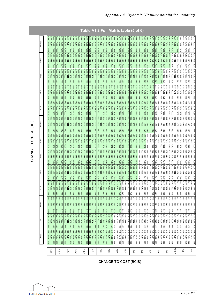|                       |        |                                                                        |                   |            |            |                          |            |            |                                                               |                          |                   |                                                                                                                                                                                                                                                                                                                                                                                                         |            |                                  |                   |                   |                          |                   |            |                          |            | Table A1.2 Full Matrix table (5 of 6)                                                                                                                                                                                                                                                                                                                                                                                                                                      |            |                    |            |                          |                   |                   |                                  |                   |                   |                     |                   |                   |            |                         |                                                    |
|-----------------------|--------|------------------------------------------------------------------------|-------------------|------------|------------|--------------------------|------------|------------|---------------------------------------------------------------|--------------------------|-------------------|---------------------------------------------------------------------------------------------------------------------------------------------------------------------------------------------------------------------------------------------------------------------------------------------------------------------------------------------------------------------------------------------------------|------------|----------------------------------|-------------------|-------------------|--------------------------|-------------------|------------|--------------------------|------------|----------------------------------------------------------------------------------------------------------------------------------------------------------------------------------------------------------------------------------------------------------------------------------------------------------------------------------------------------------------------------------------------------------------------------------------------------------------------------|------------|--------------------|------------|--------------------------|-------------------|-------------------|----------------------------------|-------------------|-------------------|---------------------|-------------------|-------------------|------------|-------------------------|----------------------------------------------------|
|                       |        | 80%<br>60%<br>60%                                                      | 60%<br>60%        | 60%        | 60%        | 60%<br>60%               | 60%        | 60%<br>60% | 60%<br>60%                                                    | $60\%$                   | 60%               | 60%<br>60%                                                                                                                                                                                                                                                                                                                                                                                              | 60%        | $60\%$<br>60%                    |                   | 60%<br>60%        | 60%<br>60%               | 60%               | 60%        | 60%                      | 60%<br>60% | 60%<br>60%                                                                                                                                                                                                                                                                                                                                                                                                                                                                 | šo%        | 59%<br>59%         | 59%        | 59%                      | 58%<br>58%        | 58%<br>58%        |                                  | 57%<br>58%        | 57%<br>56%        | 58%                 | 57%<br>55%        | 56%               | 55%        | 55%<br>$\frac{8}{2}$    | 54%                                                |
|                       | $+60%$ | 60%<br>60%<br>60%<br>60%                                               |                   | $60\%$     | 60%        | 60%<br>$60\%$            | 60%        | 60%        | 60%<br>60%<br>60%                                             | 60%                      | 60%               | $60\%$                                                                                                                                                                                                                                                                                                                                                                                                  | 60%<br>60% | <b>60%</b>                       |                   | 60%<br>60%        | 60%<br>60%               | 60%               | 60%<br>60% |                          | 60%<br>60% | 60%<br>60%                                                                                                                                                                                                                                                                                                                                                                                                                                                                 | 60%<br>59% | $59\%$             | 59%        | 59%                      | 58%<br>58%        | 58%<br>58%        |                                  | 57%<br>58%        | 57%<br>56%        | 58%                 | 57%<br>56%        | 56%<br>55%        |            | 54%                     | 55%<br>54%<br>53%                                  |
|                       |        | 60%<br>60%                                                             | 60%               | 60%        | 60%        | 60%                      | 60%        |            | 60%<br>60%                                                    | 60%                      | 60%               | 60%                                                                                                                                                                                                                                                                                                                                                                                                     | 60%        | 60%                              | 60%               |                   | 60%<br>60%               |                   | 60%        | 60%                      | 60%        | 60%                                                                                                                                                                                                                                                                                                                                                                                                                                                                        | 60%        | 59%                | 59%        | 59%                      | 58%               | 59%               | 57%                              | 59%               | 56%               | 59%                 | 56%               | 57%               |            | 56%<br>54%              | 53%                                                |
|                       |        | 60%<br>60%<br>60%                                                      | 60%<br>60%        |            | 60%        | 60%<br>60%               | 60%        | 60%        | 60%<br>60%                                                    | 60%                      | 60%               | 60%<br>60%                                                                                                                                                                                                                                                                                                                                                                                              | 60%        | 59%<br>59%                       |                   | 60%<br>59%        | 59%<br>60%               | 59%               | 59%        | 60%<br>59%               | 59%        | 60%<br>59%                                                                                                                                                                                                                                                                                                                                                                                                                                                                 | 59%        | 58%<br>58%         | 58%        | 57%<br>58%               | 57%               | 57%<br>57%        | 56%                              | 57%               | 55%<br>56%        | 57%                 | 54%<br>56%        | 55%               | 54%        | 54%                     | 53%                                                |
|                       | 58%    | 60%<br>60%<br>60%                                                      | 60%<br>60%        | 60%        | 60%        | 60%<br>60%               |            | 60%<br>60% | 60%                                                           | 60%<br>60%               | 60%               | 60%<br>60%                                                                                                                                                                                                                                                                                                                                                                                              | 60%        | $60\%$<br>59%                    |                   | 60%<br>60%        | 60%<br>59%               | 60%               | 59%        | 60%<br>60%               | 59%        | 60%<br>60%                                                                                                                                                                                                                                                                                                                                                                                                                                                                 | 59%        | 58%<br>58%         | 58%        | 58%<br>57%               | 57%               | 57%<br>57%        | 56%                              | 57%               | 56%<br>55%        | 57%                 | 55%               | 55%               | 54%        | 54%                     | 53%                                                |
|                       |        | 60%<br>60%                                                             | 60%               | 60%        | 60%        | 60%                      |            | 60%        | 60%                                                           | 60%                      | 60%               | 60%                                                                                                                                                                                                                                                                                                                                                                                                     | 60%        | 59%                              | 60%               |                   | 60%<br>59%               |                   | 59%        | 60%                      | 59%        | 60%                                                                                                                                                                                                                                                                                                                                                                                                                                                                        | 59%        | 59%                | 58%        | 58%                      | 57%               | 58%               | 56%                              | 58%               | 55%               | 58%                 | 55%               | 56%               |            | 55%                     |                                                    |
|                       | 56%    | 60%<br>60%<br>60%                                                      | 60%<br>60%        | 60%        | 60%        | 60%<br>60%<br>60%        | 60%        | 60%        | 60%<br>60%                                                    | 60%<br>60%<br>60%<br>60% | 60%               | 60%<br>60%<br>60%                                                                                                                                                                                                                                                                                                                                                                                       | 60%        | 59%<br>59%<br>60%<br>59%         | 60%               | 60%<br>59%<br>60% | 59%<br>60%<br>60%<br>59% | 59%               | 59%<br>59% | 60%<br>59%<br>60%<br>60% | 59%<br>59% | 60%<br>59%<br>60%<br>60%                                                                                                                                                                                                                                                                                                                                                                                                                                                   | 59%<br>59% | 58%<br>58%<br>58%  | 57%        | 58%<br>58%               | 57%<br>56%<br>56% | 56%<br>57%<br>56% | 55%<br>55%                       | 56%<br>56%        | 55%<br>54%<br>55% | 56%<br>56%          | 55%<br>53%<br>54% | 54%               | 53%<br>53% | 53%<br>53%              | 52%<br>52%                                         |
|                       |        | 60%<br>60%                                                             | 60%               | 60%        | 60%        | 60%                      |            | 60%        | 60%                                                           | 60%                      | 60%               | 60%                                                                                                                                                                                                                                                                                                                                                                                                     | 60%        | 59%                              | 60%               |                   | 60%<br>59%               |                   | 59%        | 60%                      | 59%        | 80%                                                                                                                                                                                                                                                                                                                                                                                                                                                                        | 59%        | 59%                | 58%        | 58%                      | 57%               | 58%               | 55%                              | 57%               | 54%               | 57%                 | 54%               | 55%               |            | 54%<br>52%              | $51\%$                                             |
|                       |        | 60%<br>60%                                                             | 60%<br>60%<br>60% | 60%        | 60%        | 60%<br>60%               |            | 60%<br>30% | 60%                                                           | 60%<br>60%               | 60%               | 60%<br>60%                                                                                                                                                                                                                                                                                                                                                                                              | 60%        | 59%<br>59%                       |                   | 60%<br>59%        | 59%<br>60%               | 59%               | 58%        | 60%<br>59%               | 58%        | 60%<br>59%                                                                                                                                                                                                                                                                                                                                                                                                                                                                 | 58%        | 58%<br>57%         | 57%        | 57%                      | 56%<br>56%        | 56%<br>56%        | 54%                              | 56%               | 55%<br>53%        | 55%                 | 52%<br>54%        | 53%               | 52%        | 52%                     |                                                    |
|                       | 54%    | 60%<br>60%<br>60%                                                      | 60%<br>60%        | 60%        | 60%        | 60%<br>60%               | 60%        | 60%        | 60%<br>60%                                                    | 60%<br>60%               | 60%               | 60%<br>60%                                                                                                                                                                                                                                                                                                                                                                                              | 60%        | 60%<br>59%                       | 60%               | 60%               | 60%<br>59%               | 60%               | 58%        | 60%<br>60%               | 58%        | 60%<br>60%                                                                                                                                                                                                                                                                                                                                                                                                                                                                 | 58%        | 58%<br>58%         | 57%        | 57%                      | 67%<br>56%        | 56%               | 56%<br>55%                       | 56%               | 55%<br>54%        | 55%                 | 54%<br>53%        | 53%               | 52%        | 52%                     | <b>51%</b><br>50%                                  |
|                       |        | 60%<br>60%                                                             | 60%               | 60%        | 60%        | 60%                      | 60%        | 60%        | 60%                                                           | 60%                      | 60%               | 60%                                                                                                                                                                                                                                                                                                                                                                                                     |            | 59%                              | 60%               |                   | 60%<br>59%               |                   | 59%        | 60%                      | 59%        | 60%                                                                                                                                                                                                                                                                                                                                                                                                                                                                        | 59%        | 59%                | 57%        | 58%                      | 56%               | 57%               | 55%                              | 57%               | 54%               | 56%                 | 53%               | 54%               |            | 53%                     | 50%                                                |
|                       |        | 60%                                                                    | 60%<br>60%        |            | 60%        | 60%                      |            | 60%        | 60%                                                           | 60%<br>60%               | 60%               | 60%<br>60%                                                                                                                                                                                                                                                                                                                                                                                              | 60%        | 59%<br>59%                       | 60%               | 59%               | 60%<br>59%               | 59%               | 58%        | 60%<br>59%               | 58%        | 60%<br>59%                                                                                                                                                                                                                                                                                                                                                                                                                                                                 | 58%        | 58%<br>57%         | 56%        | 57%<br>56%               | 55%               | 56%<br>55%        | 53%                              | 55%               | 54%<br>52%        | 54%                 | 51%<br>53%        | 52%               | 51%        | 51%                     |                                                    |
| CHANGE TO PRICE (HPI) | 52%    | $80%$<br>$60%$<br>$60%$<br>$60%$                                       |                   | 60%        | 60%        | 60%<br>60%               | 60%        | 60%        | 60%<br>60%<br>60%                                             | 60%                      | 60%               | 60%<br>60%                                                                                                                                                                                                                                                                                                                                                                                              | 60%        | 60%<br>59%                       |                   | 60%<br>60%        | 60%<br>59%               | 60%               | 58%        | 60%<br>60%               | 58%        | 60%<br>60%                                                                                                                                                                                                                                                                                                                                                                                                                                                                 | 58%        | 58%                | 56%        | 57%                      | 57%<br>55%        | 55%<br>56%        | 54%                              | 55%               | 54%<br>53%        | 54%                 | 53%<br>52%        | 52%               | 51%        | 50%                     | 51%<br>50%<br>49%                                  |
|                       |        | 60%                                                                    | 60%               | 60%        | 60%        | 60%                      | 60%        | 60%        | 60%                                                           | 60%                      | 60%               | 60%                                                                                                                                                                                                                                                                                                                                                                                                     | 60%        | 59%                              | 60%               |                   | 60%<br>59%               |                   | 59%        | 60%                      | 59%        | 60%                                                                                                                                                                                                                                                                                                                                                                                                                                                                        | 59%        | 59%                | 57%        | 58%                      | 56%               | 57%               | 54%                              | 56%               | 53%               | 55%                 | 52%               | 53%               |            | 52%                     |                                                    |
|                       |        | 60%<br>60%<br>60%                                                      | 60%<br>60%        | 60%        | 60%        | 60%<br>60%               | 60%        | 60%        | 60%<br>60%                                                    | 60%<br>60%               | 60%               | 60%<br>60%                                                                                                                                                                                                                                                                                                                                                                                              | 60%        | 59%<br>59%                       | 60%               | 59%               | 59%<br>60%               | 59%               | 58%        | 60%<br>59%               | 58%        | 60%<br>59%                                                                                                                                                                                                                                                                                                                                                                                                                                                                 | 58%        | 58%<br>57%         | 56%        | 57%                      | 55%<br>56%        | 55%<br>56%        | 53%                              | 55%               | 54%<br>52%        | 54%                 | 51%<br>53%        | 52%               | 51%        | 51%                     | 50%                                                |
|                       | $+50%$ | 60%<br>60%<br>60%                                                      | 60%<br>60%        | 60%        | 60%        | 60%<br>60%               | 60%        | 60%<br>60% | 60%<br>60%                                                    | 60%                      | 60%               | 60%<br>60%                                                                                                                                                                                                                                                                                                                                                                                              | 60%        | 60%<br>59%                       |                   | 60%<br>60%        | 60%<br>59%               | 60%               | 58%        | 60%<br>60%               | 58%        | 60%<br>60%                                                                                                                                                                                                                                                                                                                                                                                                                                                                 | 58%        | 58%<br>58%         | 56%        | 57%<br>57%               | 55%               | 56%<br>55%        | 54%                              | 55%               | 54%<br>53%        | 54%                 | 53%<br>52%        | 52%               | 51%        | 51%<br>50%              | 50%<br>$\frac{50}{20}$                             |
|                       |        | 60%                                                                    | 60%               | 60%        | 60%        | 60%                      |            | 60%        | 60%                                                           | 60%                      | 60%               | 60%                                                                                                                                                                                                                                                                                                                                                                                                     |            | 59%                              | 60%               |                   | 60%<br>59%               |                   | 59%        | 60%                      | 59%        | 60%                                                                                                                                                                                                                                                                                                                                                                                                                                                                        | 59%        | 59%                | 57%        | 58%                      | 56%               | 57%               | 54%                              | 56%               | 53%               |                     | 52%               | 53%               |            | 52%<br>50%              |                                                    |
|                       |        |                                                                        | 60%<br>60%        | 60%        | 60%        | 60%<br>60%               |            | 60%<br>60% | 60%                                                           | 60%<br>60%               | 60%               | 60%<br>60%                                                                                                                                                                                                                                                                                                                                                                                              |            | 59%<br>58%                       | 59%               | 58%               | 58%<br>59%               | 58%               | 57%        | 59%<br>58%               | 57%        | 59%<br>58%                                                                                                                                                                                                                                                                                                                                                                                                                                                                 | 57%        | 57%<br>56%         | 55%        | 55%<br>56%               | 54%               | 55%<br>54%        | 52%                              | 54%               | 53%<br>51%        | 53%                 | 50%<br>52%        | 51%               | 50%        | 50%                     | 49%                                                |
|                       | 48%    | $60\%$<br>$60\%$<br>$60\%$<br>$60\%$                                   |                   | 60%        | 60%        | 60%<br>60%               | 60%        | 60%        | 60%<br>60%<br>60%                                             | 60%                      | 60%               | 60%<br>60%                                                                                                                                                                                                                                                                                                                                                                                              | 59%        | 59%<br>58%                       | 59%               | 59%               | 59%<br>58%               | 59%               | 57%        | 59%<br>59%               | 57%        | 59%<br>59%                                                                                                                                                                                                                                                                                                                                                                                                                                                                 | 57%        | 57%<br>57%         | 55%        | 56%                      | 56%<br>54%        | 55%<br>54%        |                                  | 53%<br>54%        | 53%<br>52%        | 53%                 | 51%<br>52%        | 51%               | 50%        | 50%<br>49%              | 49%<br>47%                                         |
|                       |        | 60%                                                                    | 60%               | 60%        | 60%        | 60%                      | 60%        | 60%        | 60%                                                           | 60%                      | 60%               | 60%                                                                                                                                                                                                                                                                                                                                                                                                     | 59%        | 59%                              | 59%               |                   | 59%<br>58%               |                   | 58%        | 59%                      | 58%        | 59%                                                                                                                                                                                                                                                                                                                                                                                                                                                                        | 58%        | 58%                | 56%        | 57%                      | 55%               | 56%               | 53%                              | 55%               | 52%               | 54%                 | 51%               | 52%               |            | 51%<br>49%              |                                                    |
|                       |        |                                                                        | 60%               |            | 60%        | 60%<br>60%               | 60%        | 60%        | 60%<br>60%                                                    | 60%<br>60%               | 60%               | 60%<br>60%                                                                                                                                                                                                                                                                                                                                                                                              | 59%        | 59%<br>58%                       | 59%               | 58%               | 58%<br>58%               | 58%               | 56%        | 58%<br>57%               | 56%        | 58%<br>57%                                                                                                                                                                                                                                                                                                                                                                                                                                                                 | 56%        | 56%<br>55%         | 54%        | 55%                      | 53%<br>54%        | 54%<br>53%        | 51%                              | 53%               | 50%<br>52%        | 52%                 | 49%<br>51%        | 50%               | 49%        | 49%                     | 48%                                                |
|                       | 46%    | 60%<br>60%<br>60%<br>60%                                               |                   | 60%        | 60%        | 60%<br>60%               |            | 60%        | 60%<br>60%                                                    | 60%<br>60%               | 60%               | 60%<br>60%                                                                                                                                                                                                                                                                                                                                                                                              | 59%        | 59%<br>58%                       |                   | 59%<br>59%        | 59%<br>58%               | 58%               | 57%        | 58%<br>58%               | 56%        | 58%<br>58%                                                                                                                                                                                                                                                                                                                                                                                                                                                                 | 56%        | 56%<br>56%         | 54%        | 55%                      | 55%<br>53%        | 53%<br>54%        | 52%                              | 53%               | 52%<br>51%        | 52%                 | 51%<br>50%        | 50%               | 49%        | 49%<br>48%              | 48%<br>46%                                         |
|                       |        | 60%                                                                    | 60%               | 60%        | 60%        | 60%                      | 60%        | 60%        | 60%                                                           | 60%                      | 60%               | 60%                                                                                                                                                                                                                                                                                                                                                                                                     | 59%        | 59%                              | 59%               |                   | 59%<br>58%               |                   | 58%        | 58%                      | 57%        | 58%                                                                                                                                                                                                                                                                                                                                                                                                                                                                        | 57%        | 57%                | 55%        | 56%                      | 54%               | 55%               | 52%                              | 54%               | 51%               | 53%                 | 50%               | 51%               |            | 50%                     |                                                    |
|                       | 44%    | 60%<br>60%<br>60%                                                      | 60%<br>60%        |            | 60%        | 60%<br>60%               |            | 60%        | 60%<br>60%                                                    | 60%<br>60%               | 60%               | 60%<br>60%                                                                                                                                                                                                                                                                                                                                                                                              | 59%        | 59%<br>58%                       | 58%               | 58%               | 57%<br>58%<br>58%        | 57%               | 56%        | 57%<br>57%               | 55%        | 57%<br>56%                                                                                                                                                                                                                                                                                                                                                                                                                                                                 | 55%        | 9699<br>54%        | 53%        | 54%<br>53%               | 52%               | 52%<br>53%        | 50%                              | 52%               | 51%<br>49%        | 51%                 | 50%<br>48%        | 49%               | 48%        | 48%                     |                                                    |
|                       |        | 60%<br>60%<br>60%                                                      | 60%<br>60%        | 60%        | 60%        | 60%<br>60%               | 60%        | 60%<br>60% | 60%                                                           | 60%<br>60%               | 60%               | 60%<br>60%                                                                                                                                                                                                                                                                                                                                                                                              | 59%        | 59%<br>58%                       | 58%               | 58%               | 57%                      | 58%               | 56%        | 58%<br>57%               | 56%        | 58%<br>57%                                                                                                                                                                                                                                                                                                                                                                                                                                                                 | 55%        | 56%<br>55%         | 53%        | 55%                      | 52%<br>54%        | 53%<br>52%        | 51%                              | 52%               | 51%<br>50%        | 51%                 | 50%<br>49%        | 49%               | 48%        | 48%<br>47%              | 47%<br>45%                                         |
|                       |        | 60%<br>60%<br>60%<br>60%<br>60%                                        | 60%<br>60%<br>60% | 60%<br>60% | 60%<br>60% | 60%<br>60%<br>60%        | 60%<br>60% | 60%<br>60% | 60%<br>60%<br>60%                                             | 60%<br>60%<br>60%        | 60%<br>60%        | 60%<br>60%<br>60%                                                                                                                                                                                                                                                                                                                                                                                       | 59%<br>59% | 59%<br>59%<br>58%                | 58%               | 58%<br>58%        | 58%<br>58%<br>57%<br>57% | 57%               | 57%<br>55% | 58%<br>56%<br>56%        | 57%<br>54% | 58%<br>56%<br>55%                                                                                                                                                                                                                                                                                                                                                                                                                                                          | 56%<br>54% | 56%<br>9679<br>53% | 54%<br>52% | 55%<br>53%               | 53%<br>51%<br>52% | 54%<br>51%<br>52% | 49%                              | 51%<br>53%<br>51% | 50%<br>50%<br>48% | 52%<br>50%          | 49%<br>49%<br>47% | 50%<br>48%        | 47%        | 49%<br>47%<br>47%       | 46%                                                |
|                       | 42%    | 60%<br>60%<br>60%                                                      | 60%<br>60%        | 60%        | 60%        | 60%<br>60%               |            | 60%        | 60%                                                           | 60%<br>60%               | 60%               | 60%<br>60%                                                                                                                                                                                                                                                                                                                                                                                              | 59%        | 59%<br>58%                       | 58%               | 58%               | 58%<br>57%               | 57%               | 56%        | 57%<br>56%               | 55%        | 57%<br>56%                                                                                                                                                                                                                                                                                                                                                                                                                                                                 | 54%        | 55%<br>54%         | 52%        | 54%<br>53%               | 51%               | 51%<br>52%        | 50%                              | 51%<br>50%        | 49%               | 50%                 | 49%<br>48%        | 48%               | 47%        | 47%                     | 46%<br>44%                                         |
|                       |        | 60%                                                                    | 60%<br>60%        | $60\%$     | 60%        |                          | 60%<br>60% |            | 60%<br>60%                                                    | 60%                      | 60%               |                                                                                                                                                                                                                                                                                                                                                                                                         | 60%<br>59% | 59%                              | 58%               |                   | 58%<br>58%               |                   | 57%        | 57%                      | 56%<br>57% |                                                                                                                                                                                                                                                                                                                                                                                                                                                                            | 55%<br>55% |                    | 53%        | 54%                      | 52%               | 53%               |                                  | 50%<br>52%        | 49%               | 51%                 |                   | 48%<br>49%        |            | 48%<br>46%              | 45%                                                |
|                       |        | 8888088808                                                             |                   | 60%        | 60%        | $60%$<br>$60%$<br>$60%$  |            |            | $\frac{8}{60\%}$<br>60%<br>60%                                |                          |                   | $\begin{array}{l l} \circ & \circ & \circ & \circ \\ \circ & \circ & \circ & \circ \\ \circ & \circ & \circ & \circ \\ \circ & \circ & \circ & \circ \\ \circ & \circ & \circ & \circ \end{array} \quad \begin{array}{l} \circ & \circ & \circ & \circ \\ \circ & \circ & \circ & \circ \\ \circ & \circ & \circ & \circ \\ \circ & \circ & \circ & \circ \\ \circ & \circ & \circ & \circ \end{array}$ |            |                                  |                   |                   |                          | 57%<br>57%<br>57% |            |                          |            |                                                                                                                                                                                                                                                                                                                                                                                                                                                                            |            |                    |            |                          |                   |                   |                                  |                   | 47%               | 49%<br>48%          |                   | 46%<br>47%<br>46% |            | $44%$<br>$46%$<br>$45%$ | 43%                                                |
|                       | $+40%$ | 60%<br>60%<br>60%<br>60%                                               |                   | $60\%$     | 60%        | 60%                      | 60%        | $60\%$     | 60%<br>60%<br>60%                                             |                          | 60%<br>60%        | $60\%$                                                                                                                                                                                                                                                                                                                                                                                                  |            | <b>8% 38% 38%</b><br>69% 38% 38% |                   |                   | 57%<br>58%               | 57%               |            |                          |            | $\frac{8}{50} \begin{matrix} 8 \\ 8 \\ 8 \\ 6 \end{matrix} \begin{matrix} 8 \\ 8 \\ 8 \\ 8 \\ 8 \end{matrix} \begin{matrix} 8 \\ 8 \\ 8 \\ 8 \\ 8 \end{matrix} \begin{matrix} 8 \\ 8 \\ 8 \\ 8 \\ 8 \end{matrix} \begin{matrix} 8 \\ 8 \\ 8 \\ 8 \\ 8 \end{matrix} \begin{matrix} 8 \\ 8 \\ 8 \\ 8 \\ 8 \end{matrix} \begin{matrix} 8 \\ 8 \\ 8 \\ 8 \\ 8 \end{matrix} \begin{matrix} 8 \\ 8 \\ 8 \\ 8 \\ 8 \end{matrix} \begin{matrix} 8 \\ 8 \\ 8 \\ 8 \\ 8 \end{matrix$ |            |                    |            |                          |                   |                   |                                  | 49%<br>51%        | 49%               | $48%$<br>50%<br>48% |                   |                   |            |                         | $47%$<br>$48%$<br>$45%$<br>$45%$<br>$45%$<br>$45%$ |
|                       |        | 60%<br>60%                                                             | 60%               | 60%        | 60%        | 60%                      | 60%        |            | 60%<br>60%                                                    | 60%                      | 60%               | 60%                                                                                                                                                                                                                                                                                                                                                                                                     | 59%        | 59%                              | 58%               |                   | 58%<br>58%               |                   | 57%        | 57%                      | 56%        | 57%                                                                                                                                                                                                                                                                                                                                                                                                                                                                        | 55%<br>55% |                    | 53%        | 54%                      | 51%               | 52%               |                                  | 50%<br>51%        | 48%               | 50%                 | 47%               | 48%               |            | 47%<br>45%              | 44%                                                |
|                       |        | 60%<br>60%<br>60%                                                      | 59%<br>59%        | 59%        | 59%        | 59%<br>59%               | 59%        |            | $\frac{8}{3} \frac{8}{9} \frac{8}{9} \frac{8}{9} \frac{8}{9}$ | 59%                      | 59%<br>59%        | 59%                                                                                                                                                                                                                                                                                                                                                                                                     | 58%        | 58%<br>57%                       |                   | 57%<br>57%        | 56%                      | 56%<br>54%        |            |                          |            | $\begin{array}{l} 55\% \\ 55\% \\ 53\% \\ 54\% \\ 52\% \\ 52\% \\ 50\% \end{array}$                                                                                                                                                                                                                                                                                                                                                                                        |            |                    |            | 51%<br>50%<br>48%<br>50% |                   |                   | $47%$<br>$47%$<br>$48%$<br>$47%$ |                   | 45%               | 47%                 | 46%               | 44%<br>45%        | 44%        | 44%                     | 43%<br>41%                                         |
|                       | 38%    | $60%$<br>$60%$<br>$60%$<br>$60%$<br>$50%$                              |                   | 59%        | 60%        | 59%                      | 59%<br>60% | 59%        | 59%<br>60%<br>59%                                             | 59%                      | 60%               | 59%                                                                                                                                                                                                                                                                                                                                                                                                     | 59%<br>58% | 58%<br>57%                       |                   | 57%<br>57%        | 57%<br>56%               | 56%               |            |                          |            | <b>55% % % 56%</b><br>56% 54% 56%                                                                                                                                                                                                                                                                                                                                                                                                                                          | 53%<br>54% | 53%                |            | 51%<br>52%<br><b>51%</b> |                   | 49%<br>51%<br>49% |                                  | 48%               | 47%<br>46%        | 48%                 | 46%               | 45%<br>46%        | 44%        | 43%<br>44%              | 43%<br>41%                                         |
|                       |        | 60%                                                                    | 60%               | 59%        | 60%        | 59%                      | 60%        |            | 59%<br>60%                                                    | 59%                      | 60%               | 59%                                                                                                                                                                                                                                                                                                                                                                                                     | 59%        | 58%                              | 57%               |                   | 57%<br>57%               |                   | 56%        | 56%                      | 54%<br>56% |                                                                                                                                                                                                                                                                                                                                                                                                                                                                            | 53%        | 54%                | 51%        | 53%                      | 49%               | 51%               | 48%                              | 49%               | 46%               | 48%                 | 45%               | 46%               |            | 45%<br>43%              | 42%                                                |
|                       |        | 60%<br>60%                                                             | 60%<br>59%<br>59% | 59%        | 59%        | 59%                      | 59%        | 59%        | 58%<br>59%<br>59%                                             |                          | 58%<br>59%<br>59% |                                                                                                                                                                                                                                                                                                                                                                                                         | 58%<br>58% | 57%                              | 56%<br>56%<br>56% |                   |                          | 55%<br>55%<br>55% |            |                          |            | $\begin{array}{l} 53\% \\ 54\% \\ 54\% \\ 52\% \\ 53\% \end{array}$                                                                                                                                                                                                                                                                                                                                                                                                        |            | 51%<br>52%<br>51%  |            | $49%$<br>50%<br>49%      | 47%               | 49%<br>48%        |                                  | 46%<br>47%        | 44%<br>46%        | 46%<br>45%          |                   | $43%$<br>$44%$    | 43%        | 41%<br>43%              | 40%<br>42%                                         |
|                       | 36%    | $\begin{array}{l} 60\% \\ 60\% \\ 60\% \\ 60\% \\ 60\% \\ \end{array}$ |                   |            | 60%        | <b>59%</b><br>59%<br>60% |            | 59%        | 59%<br>60%<br>59%                                             |                          | 58%<br>60%        | $59\%$                                                                                                                                                                                                                                                                                                                                                                                                  | 58%        | 88%<br>56%<br>58%                |                   |                   |                          | 55%<br>56%<br>55% | $264%$     |                          |            |                                                                                                                                                                                                                                                                                                                                                                                                                                                                            |            |                    |            |                          |                   | 48%<br>50%        | 48%<br>47%<br>48%                |                   | 46%<br>45%        | 47%<br>45%          |                   | $44%$<br>45%      | 43%        |                         | $43%$<br>$43%$<br>$42%$                            |
|                       |        | 60%<br>60%                                                             | 60%               |            | 59%<br>60% |                          | 59%<br>60% |            | 59%<br>60%                                                    |                          | 58%<br>60%        |                                                                                                                                                                                                                                                                                                                                                                                                         | 58%<br>59% |                                  | 57%               |                   | 56%                      |                   | 55%<br>55% |                          | 53%<br>55% |                                                                                                                                                                                                                                                                                                                                                                                                                                                                            | 52%<br>53% |                    |            | 50%<br>52%               |                   | 48%<br>50%        |                                  | 47%<br>48%        | 45%               | 47%                 |                   | 44%<br>45%        |            | $\frac{42%}{44%}$       | 41%                                                |
|                       |        | $-20%$                                                                 | $-18%$            |            |            | $-16%$                   |            | $-14%$     |                                                               | $-12%$                   |                   | $-10%$                                                                                                                                                                                                                                                                                                                                                                                                  |            | -8%                              |                   | $-6%$             |                          | 4%                |            | $-2%$                    |            | $0\%$                                                                                                                                                                                                                                                                                                                                                                                                                                                                      |            | 2%                 |            |                          | 4%                | 6%                |                                  |                   | $8\%$             |                     | $+10%$            |                   | 12%        |                         | 14%                                                |
|                       |        |                                                                        |                   |            |            |                          |            |            |                                                               |                          |                   |                                                                                                                                                                                                                                                                                                                                                                                                         |            |                                  |                   |                   |                          |                   |            |                          |            | CHANGE TO COST (BCIS)                                                                                                                                                                                                                                                                                                                                                                                                                                                      |            |                    |            |                          |                   |                   |                                  |                   |                   |                     |                   |                   |            |                         |                                                    |
|                       |        |                                                                        |                   |            |            |                          |            |            |                                                               |                          |                   |                                                                                                                                                                                                                                                                                                                                                                                                         |            |                                  |                   |                   |                          |                   |            |                          |            |                                                                                                                                                                                                                                                                                                                                                                                                                                                                            |            |                    |            |                          |                   |                   |                                  |                   |                   |                     |                   |                   |            |                         |                                                    |

**FORDHAM RESEARCH**